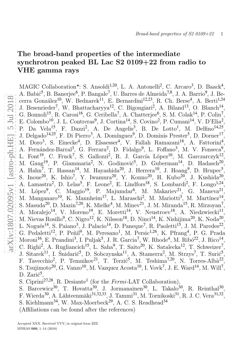# The broad-band properties of the intermediate synchrotron peaked BL Lac S2 0109+22 from radio to VHE gamma rays

MAGIC Collaboration\*: S. Ansoldi<sup>1,20</sup>, L. A. Antonelli<sup>2</sup>, C. Arcaro<sup>3</sup>, D. Baack<sup>4</sup>, A. Babić<sup>5</sup>, B. Banerjee<sup>6</sup>, P. Bangale<sup>7</sup>, U. Barres de Almeida<sup>7,8</sup>, J. A. Barrio<sup>9</sup>, J. Becerra González<sup>10</sup>, W. Bednarek<sup>11</sup>, E. Bernardini<sup>12,23</sup>, R. Ch. Berse<sup>4</sup>, A. Berti<sup>1,24</sup> J. Besenrieder<sup>7</sup>, W. Bhattacharyya<sup>12</sup>, C. Bigongiari<sup>2</sup>, A. Biland<sup>13</sup>, O. Blanch<sup>14</sup>, G. Bonnoli<sup>15</sup>, R. Carosi<sup>16</sup>, G. Ceribella<sup>7</sup>, A. Chatterjee<sup>6</sup>, S. M. Colak<sup>14</sup>, P. Colin<sup>7</sup>, E. Colombo<sup>10</sup>, J. L. Contreras<sup>9</sup>, J. Cortina<sup>14</sup>, S. Covino<sup>2</sup>, P. Cumani<sup>14</sup>, V. D'Elia<sup>2</sup>, P. Da Vela<sup>15</sup>, F. Dazzi<sup>2</sup>, A. De Angelis<sup>3</sup>, B. De Lotto<sup>1</sup>, M. Delfino<sup>14,25</sup>, J. Delgado<sup>14,25</sup>, F. Di Pierro<sup>3</sup>, A. Domínguez<sup>9</sup>, D. Dominis Prester<sup>5</sup>, D. Dorner<sup>17</sup>, M. Doro<sup>3</sup>, S. Einecke<sup>4</sup>, D. Elsaesser<sup>4</sup>, V. Fallah Ramazani<sup>18</sup>, A. Fattorini<sup>4</sup>, A. Fernández-Barral<sup>3</sup>, G. Ferrara<sup>2</sup>, D. Fidalgo<sup>9</sup>, L. Foffano<sup>3</sup>, M. V. Fonseca<sup>9</sup> , L. Font<sup>19</sup>, C. Fruck<sup>7</sup>, S. Gallozzi<sup>2</sup>, R. J. García López<sup>10</sup>, M. Garczarczyk<sup>12</sup>, M. Gaug<sup>19</sup>, P. Giammaria<sup>2</sup>, N. Godinović<sup>5</sup>, D. Guberman<sup>14</sup>, D. Hadasch<sup>20</sup>, A. Hahn<sup>7</sup>, T. Hassan<sup>14</sup>, M. Hayashida<sup>20</sup>, J. Herrera<sup>10</sup>, J. Hoang<sup>9</sup>, D. Hrupec<sup>5</sup>, S. Inoue<sup>20</sup>, K. Ishio<sup>7</sup>, Y. Iwamura<sup>20</sup>, Y. Konno<sup>20</sup>, H. Kubo<sup>20</sup>, J. Kushida<sup>20</sup>, A. Lamastra<sup>2</sup>, D. Lelas<sup>5</sup>, F. Leone<sup>2</sup>, E. Lindfors<sup>18</sup>, S. Lombardi<sup>2</sup>, F. Longo<sup>1,24</sup>, M. López<sup>9</sup>, C. Maggio<sup>19</sup>, P. Majumdar<sup>6</sup>, M. Makariev<sup>21</sup>, G. Maneva<sup>21</sup>, M. Manganaro<sup>10</sup>, K. Mannheim<sup>17</sup>, L. Maraschi<sup>2</sup>, M. Mariotti<sup>3</sup>, M. Martínez<sup>14</sup>, S. Masuda<sup>20</sup>, D. Mazin<sup>7,20</sup>, K. Mielke<sup>4</sup>, M. Minev<sup>21</sup>, J. M. Miranda<sup>15</sup>, R. Mirzoyan<sup>7</sup>, A. Moralejo<sup>14</sup>, V. Moreno<sup>19</sup>, E. Moretti<sup>14</sup>, V. Neustroev<sup>18</sup>, A. Niedzwiecki<sup>11</sup>, M. Nievas Rosillo<sup>9</sup>, C. Nigro<sup>12</sup>, K. Nilsson<sup>18</sup>, D. Ninci<sup>14</sup>, K. Nishijima<sup>20</sup>, K. Noda<sup>20</sup>, L. Nogués<sup>14</sup>, S. Paiano<sup>3</sup>, J. Palacio<sup>14</sup>, D. Paneque<sup>7</sup>, R. Paoletti<sup>15</sup>, J. M. Paredes<sup>22</sup>, G. Pedaletti<sup>12</sup>, P. Peñil<sup>9</sup>, M. Peresano<sup>1</sup>, M. Persic<sup>1,26</sup>, K. Pfrang<sup>4</sup>, P. G. Prada Moroni<sup>16</sup>, E. Prandini<sup>3</sup>, I. Puljak<sup>5</sup>, J. R. Garcia<sup>7</sup>, W. Rhode<sup>4</sup>, M. Ribó<sup>22</sup>, J. Rico<sup>14</sup>, C. Righi<sup>2</sup>, A. Rugliancich<sup>15</sup>, L. Saha<sup>9</sup>, T. Saito<sup>20</sup>, K. Satalecka<sup>12</sup>, T. Schweizer<sup>7</sup>, J. Sitarek<sup>11</sup>, I. Šnidarić<sup>5</sup>, D. Sobczynska<sup>11</sup>, A. Stamerra<sup>2</sup>, M. Strzys<sup>7</sup>, T. Surić<sup>5</sup>, F. Tavecchio<sup>2</sup>, P. Temnikov<sup>21</sup>, T. Terzić<sup>5</sup>, M. Teshima<sup>7,20</sup>, N. Torres-Albà<sup>22</sup>, S. Tsujimoto<sup>20</sup>, G. Vanzo<sup>10</sup>, M. Vazquez Acosta<sup>10</sup>, I. Vovk<sup>7</sup>, J. E. Ward<sup>14</sup>, M. Will<sup>7</sup>, D. Zari $\acute{c}^5$ ,

- S. Ciprini<sup>27,28</sup>, R. Desiante<sup>1</sup> (for the *Fermi*-LAT Collaboration),
- S. Barcewicz<sup>30</sup>, T. Hovatta<sup>30</sup>, J. Jormanainen<sup>30</sup>, L. Takalo<sup>30</sup>, R. Reinthal<sup>30</sup>, F. Wierda<sup>30</sup>, A. Lähteenmäki<sup>31,32,33</sup>, J. Tammi<sup>31</sup>, M. Tornikoski<sup>31</sup>, R. J. C. Vera<sup>31,32</sup>,
- S. Kiehlmann<sup>34</sup>, W. Max-Moerbeck<sup>29</sup>, A. C. S. Readhead<sup>34</sup>
- <span id="page-0-0"></span>(Affiliations can be found after the references)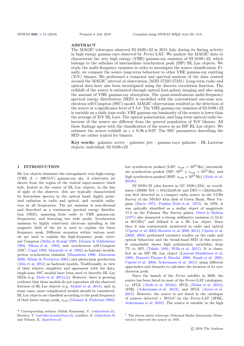## ABSTRACT

The MAGIC telescopes observed S2 0109+22 in 2015 July during its flaring activity in high energy gamma rays observed by Fermi-LAT. We analyse the MAGIC data to characterise the very high energy (VHE) gamma-ray emission of  $S2$  0109+22, which belongs to the subclass of intermediate synchrotron peak (ISP) BL Lac objects. We study the multi-frequency emission in order to investigate the source classification. Finally, we compare the source long-term behaviour to other VHE gamma-ray emitting (TeV) blazars. We performed a temporal and spectral analysis of the data centred around the MAGIC interval of observation (MJD 57225-57231). Long-term radio and optical data have also been investigated using the discrete correlation function. The redshift of the source is estimated through optical host-galaxy imaging and also using the amount of VHE gamma-ray absorption. The quasi-simultaneous multi-frequency spectral energy distribution (SED) is modelled with the conventional one-zone synchrotron self-Compton (SSC) model. MAGIC observations resulted in the detection of the source at a significance level of 5.3  $\sigma$ . The VHE gamma-ray emission of S2 0109+22 is variable on a daily time scale. VHE gamma-ray luminosity of the source is lower than the average of TeV BL Lacs. The optical polarization, and long-term optical/radio behaviour of the source are different from the general population of TeV blazars. All these findings agree with the classification of the source as an ISP BL Lac object. We estimate the source redshift as  $z = 0.36 \pm 0.07$ . The SSC parameters describing the SED are rather typical for blazars.

Key words: galaxies: active – galaxies: jets – gamma rays: galaxies – BL Lacertae objects: individual: S2 0109+22

#### 1 INTRODUCTION

BL Lac objects dominate the extragalactic very-high-energy (VHE, *E* > 100 GeV) gamma-ray sky. A relativistic jet shoots from the region of the central super-massive black hole, hosted at the center of BL Lac objects, in the line of sight of the observer. Jets are typically characterized by featureless spectra in the optical band, highly polarized radiation in radio and optical, and variable radiation at all frequencies. The jet emission is non-thermal and described as a continuous spectral energy distribution (SED), spanning from radio to VHE gamma-ray frequencies, and featuring two wide peaks. Synchrotron emission by highly relativistic electrons spiralling in the magnetic field of the jet is used to explain the lower frequency peak. Different scenarios within various models are used to explain the high-frequency peak: external Compton [\(Melia & Konigl 1989](#page-12-0); [Dermer & Schlickeiser](#page-12-1) [1994](#page-12-1); [Sikora et al. 1994\)](#page-13-0) and synchrotron self-Compton (SSC, [Coppi 1992;](#page-12-2) [Maraschi et al. 1992](#page-12-3)) as leptonic models, proton synchrotron emission [\(Mannheim 1996](#page-12-4); [Aharonian](#page-12-5) [2000](#page-12-5); Mücke  $&$  Protheroe 2001) and photo-pion production [\(Aliu et al. 2014](#page-12-7)) as hadronic models. Traditionally, in view of their relative simplicity and agreement with the data, single-zone SSC models have been used to describe BL Lac SEDs (e.g. [Abdo et al. 2011a](#page-12-8)[,b](#page-12-9)). However, there is growing evidence that these models do not reproduce all the observed features of BL Lac objects (e.g. Aleksić et al. 2014), and, in some cases, more complicated models should be considered. BL Lac objects are classified according to the peak frequency of their lower energy peak,  $v_{syn}$  [\(Giommi & Padovani 1994](#page-12-11)): low synchrotron peaked (LSP;  $v_{syn} < 10^{14}$  Hz), intermediate synchrotron peaked (ISP;  $10^{\dot{14}} \, \leq \, v_{syn} \, < \, 10^{15} \, \mathrm{Hz}),$  and high synchrotron peaked (HSP;  $v_{syn} \ge 10^{15}$  Hz) [\(Abdo et al.](#page-12-12) [2010b\)](#page-12-12).

S2 0109+22 (also known as GC 0109+224), at coordinates (J2000)  $RA = 01h12m05.8s$  and  $DEC=+22d44m39s$ , was first detected as a compact radio source in the 5 GHz Survey of the NRAO 43 m dish of Green Bank, West Virginia [\(Davis 1971](#page-12-13); [Pauliny-Toth et al. 1972\)](#page-13-1). In 1976, it was optically identified as a stellar object of magnitude 15.5 on the Palomar Sky Survey plates, [Owen & Mufson](#page-12-14) [\(1977](#page-12-14)) also measured a strong millimetre emission (1.53 Jy at  $90 \text{ GHz}$ <sup>[1](#page-1-0)</sup> and defined it as a BL Lac object. Since then it was continuously monitored in radio and optical [\(Ciprini et al. 2003;](#page-12-15) [Hovatta et al. 2008](#page-12-16), [2014](#page-12-17)). [Ciprini et al.](#page-12-15) [\(2003](#page-12-15), [2004\)](#page-12-18) performed extensive studies on the radio and optical behaviour and the broad-band SED of this source. It remarkably shows high polarization variability, from 7% to 30% [\(Takalo 1991;](#page-13-2) [Wills et al. 2011](#page-13-3)). It is classified as an ISP BL Lac object [\(Laurent-Muehleisen et al.](#page-12-19) [1999](#page-12-19); Dennett-Thorpe & Marchã 2000; [Bondi et al. 2001;](#page-12-21) [Ciprini et al. 2004](#page-12-18); [Ackermann et al. 2011\)](#page-12-22) using different approaches and datasets to calculate the location of its synchrotron peak.

Since the launch of the Fermi satellite in 2008, the source has been listed in most of the Fermi-LAT catalogues, i.e. 1FGL [\(Abdo et al. 2010a\)](#page-12-23); 2FGL [\(Nolan et al. 2012](#page-12-24)); 1FHL [\(Ackermann et al. 2013](#page-12-25)); and 3FGL [\(Acero et al.](#page-12-26) [2015](#page-12-26)). However, the source is not listed in the catalogue of sources detected  $> 50 \,\text{GeV}$  by the Fermi-LAT (2FHL, [Ackermann et al. 2016](#page-12-27)). The source is variable in the high

 $\star$  Corresponding authors: Fallah Ramazani, V. [\(vafara@utu.fi\)](mailto:vafara@utu.fi), Hovatta, T. [\(talvikki.hovatta@utu.fi\)](mailto:talvikki.hovatta@utu.fi), Lindfors, E. [\(elilin@utu.fi\)](mailto:elilin@utu.fi) and Nilsson, K. [\(kani@utu.fi\)](mailto:kani@utu.fi)

<span id="page-1-0"></span><sup>&</sup>lt;sup>1</sup> The eleven meter telescope (National Radio Astronomy Observatory) observed the source in 1976.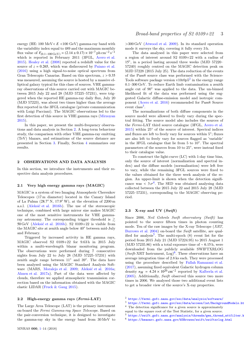energy (HE:  $100 \text{ MeV} < E < 100 \text{ GeV}$ ) gamma-ray band with the variability index equal to 489 and the maximum monthly flux value of  $F_{(0.1-100 \text{ GeV})} = (2.14 \pm 0.17) \times 10^{-7} \text{ ph cm}^{-2} \text{ s}^{-1}$ which is reported in February 2011 (3FGL, [Acero et al.](#page-12-26) [2015](#page-12-26)). [Healey et al.](#page-12-28) [\(2008](#page-12-28)) reported a redshift value for the source of  $z = 0.265$ , which was disfavoured by [Paiano et al.](#page-13-4) [\(2016](#page-13-4)) using a high signal-to-noise optical spectrum from Gran Telescopio Canarias. Based on this spectrum, *z* > 0.35 was measured, assuming the source is hosted by a massive elliptical galaxy typical for this class of sources. VHE gammaray observations of this source carried out with MAGIC between 2015 July 22 and 28 (MJD 57225–57231), were triggered when the reported HE gamma-ray daily flux, July 20 (MJD 57223), was about two times higher than the average flux reported in the 3FGL catalogue (private communication with Luigi Pacciani). The MAGIC observations led to the first detection of this source in VHE gamma rays [\(Mirzoyan](#page-12-29) [2015](#page-12-29)).

In this paper, we present the multi-frequency observations and data analysis in Section [2.](#page-2-0) A long-term behaviour study, the comparison with other VHE gamma-ray emitting (TeV) blazars, and estimations of the source distance are presented in Section [3.](#page-3-0) Finally, Section [4](#page-11-0) summarizes our results.

## <span id="page-2-0"></span>2 OBSERVATIONS AND DATA ANALYSIS

In this section, we introduce the instruments and their respective data analysis procedures.

#### 2.1 Very high energy gamma rays (MAGIC)

MAGIC is a system of two Imaging Atmospheric Cherenkov Telescopes (17 m diameter) located in the Canary Island of La Palma  $(28.7^{\circ} N, 17.9^{\circ} W)$ , at the elevation of  $2200 \,\mathrm{m}$ a.s.l. (Aleksić et al. 2016b). The use of the stereoscopic technique, combined with large mirror size makes MAGIC one of the most sensitive instruments for VHE gammaray astronomy. The corresponding trigger threshold is  $\geq$  $50 \,\text{GeV}$  (Aleksić et al. 2016b). S2 0109+22 is visible from the MAGIC site at zenith angle below 40◦ between mid-July and February.

Triggered by increased activity in HE gamma rays, MAGIC observed S2 0109+22 for 9.63h in 2015 July within a multi-wavelength blazar monitoring program. The observations were performed during 7 consecutive nights from July 22 to July 28 (MJD 57225–57231) with zenith angle range between 11◦ and 39◦ . The data have been analysed using the MAGIC Standard Analysis Soft-ware (MARS, [Moralejo et al. 2009](#page-12-31); Aleksić et al. 2016a; [Ahnen et al. 2017a](#page-12-33)). Part of the data were affected by clouds, therefore we applied atmospheric transmission correction based on the information obtained with the MAGIC elastic LIDAR [\(Fruck & Gaug 2015](#page-12-34)).

#### 2.2 High-energy gamma rays (Fermi-LAT)

The Large Area Telescope (LAT) is the primary instrument on-board the Fermi Gamma-ray Space Telescope. Based on the pair-conversion technique, it is designed to investigate the gamma-ray sky in the energy band from 30 MeV to >300 GeV [\(Atwood et al. 2009](#page-12-35)). In its standard operation mode it surveys the sky, covering it fully every 3 h.

The data analysed in this paper were selected from a region of interest around S2 0109+22 with a radius of 15◦ , in a period lasting around three weeks (MJD 57220– 57240) roughly centred on the MAGIC detection peak on MJD 57228 (2015 July 25). The data reduction of the events of the Pass8 source class was performed with the Science-Tools software package version v10r0p $5^2$  $5^2$  in the energy range 0.1–300 GeV. To reduce Earth limb contamination a zenith angle cut of 90◦ was applied to the data. The un-binned likelihood fit of the data was performed using the suggested Galactic diffuse-emission model and isotropic component [\(Acero et al. 2016](#page-12-36)) recommended for Pass8 Source event class<sup>[3](#page-2-2)</sup>.

The normalizations of both diffuse components in the source model were allowed to freely vary during the spectral fitting. The source model also includes the sources of the Fermi-LAT third source catalogue (3FGL, [Acero et al.](#page-12-26)  $2015$ ) within  $25°$  of the source of interest. Spectral indices and fluxes are left to freely vary for sources within 5◦ ; fluxes are also left to freely vary for sources flagged as 'variable' in the 3FGL catalogue that lie from 5 to 10◦ . The spectral parameters of the sources from 10 to 25◦ , were instead fixed to their catalogue value.

To construct the light-curve (LC) with 1-day time bins, only the source of interest (normalization and spectral index) and the diffuse models (normalization) were left free to vary, while the remaining 3FGL sources were fixed to the values obtained for the three week analysis of the region. An upper-limit is shown when the detection significance was  $\langle 3\sigma^4$  $\langle 3\sigma^4$ . The SED was obtained analysing data collected between the 2015 July 22 and 2015 July 28 (MJD 57225–57231), corresponding to the MAGIC observing period.

#### 2.3 X-ray and UV  $(Swift)$

Since 2006, Neil Gehrels Swift observatory (Swift) has pointed to the source fifteen times in photon counting mode. Ten of the raw images by the X-ray Telescope (XRT, [Burrows et al. 2004](#page-12-37)) on-board the Swift satellite, are qual-ified for analysis<sup>[5](#page-2-4)</sup>. The multi-epoch  $(8)$  event list for the period from 2015 July 21 (MJD 57224.95) to 2015 August 1 (MJD 57235.86) with a total exposure time of  $\sim$  6.15 h, were downloaded from the publicly available SWIFTXRLOG  $(Swift$ -XRT Instrument, Log)<sup>[6](#page-2-5)</sup>. These observations have an average integration time of 2.8 ks each. They were processed using the procedure described by [Fallah Ramazani et al.](#page-12-38) [\(2017](#page-12-38)), assuming fixed equivalent Galactic hydrogen column density  $n_H = 4.24 \times 10^{20} \text{ cm}^{-2}$  reported by [Kalberla et al.](#page-12-39) [\(2005](#page-12-39)). Additionally, Swift observed this source two more times in 2006. We analysed those two additional event lists to get a broader view of the source's X-ray properties.

- <sup>2</sup> <https://fermi.gsfc.nasa.gov/ssc/data/analysis/software/>
- <span id="page-2-1"></span>3 https://fermi.gsfc.nasa.gov/ssc/data/access/lat/BackgroundModels.ht
- <sup>4</sup> The detection significance for a given source is approximately
- <span id="page-2-3"></span><span id="page-2-2"></span>equal to the square root of the Test Statistic, for a given source.
- https://swift.gsfc.nasa.gov/analysis/threads/gen\_thread\_attfilter.h
- <span id="page-2-5"></span><span id="page-2-4"></span><sup>6</sup> <https://heasarc.gsfc.nasa.gov/W3Browse/swift/swiftxrlog.html>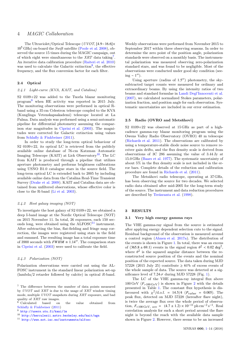# 4 MAGIC Collaboration

The Ultraviolet/Optical Telescope (UVOT, [4.9−16.6]×  $10^5$  GHz) on-board the *Swift* satellite [\(Poole et al. 2008](#page-13-5)), observed the source 15 times during the MAGIC campaign, out of which eight were simultaneous to the  $XRT$  data taking<sup>[7](#page-3-1)</sup>. An iterative data calibration procedure [\(Raiteri et al. 2010](#page-13-6)) was used to calculate the Galactic extinction<sup>[8](#page-3-2)</sup>, the effective frequency, and the flux conversion factor for each filter.

## 2.4 Optical

## 2.4.1 Light-curve (KVA, KAIT, and Catalina)

S2 0109+22 was added to the Tuorla blazar monitoring program[9](#page-3-3) when HE activity was reported in 2015 July. The monitoring observations were performed in optical Rband using a 35 cm Celestron telescope coupled to the KVA (Kunglinga Vetenskapsakademi) telescope located at La Palma. Data analysis was performed using a semi-automatic pipeline for differential photometry assuming the comparison star magnitudes in [Ciprini et al.](#page-12-15) [\(2003\)](#page-12-15). The magnitudes were corrected for Galactic extinction using values from [Schlafly & Finkbeiner](#page-13-7) [\(2011\)](#page-13-7).

In order to study the long-term optical behaviour of S2 0109+22, its optical LC is retrieved from the publicly available online database of 76-cm Katzman Automatic Imaging Telescope (KAIT) at Lick Observatory[10](#page-3-4). The LC from KAIT is produced through a pipeline that utilizes aperture photometry and performs brightness calibrations using USNO B1.0 catalogue stars in the source field. The long-term optical LC is extended back to 2005 by including available online data from the Catalina Real-Time Transient Survey [\(Drake et al. 2009](#page-12-40)). KAIT and Catalina data are obtained from unfiltered observations, whose effective color is close to the R-band [\(Li et al. 2003\)](#page-12-41).

#### <span id="page-3-6"></span>2.4.2 Host galaxy imaging (NOT)

To investigate the host galaxy of S2 0109+22, we obtained a deep I-band image at the Nordic Optical Telescope (NOT) on 2015 November 11. In total, 26 exposures, each 150 seconds long, were obtained using the  $ALFOSC<sup>11</sup>$  $ALFOSC<sup>11</sup>$  $ALFOSC<sup>11</sup>$  instrument. After subtracting the bias, flat-fielding and fringe map correction, the images were registered using stars in the field and summed. The resulting image has a total exposure time of 3900 seconds with  $FWHM \cong 1.14''$ . The comparison stars in [Ciprini et al.](#page-12-15) [\(2003](#page-12-15)) were used to calibrate the field.

## 2.4.3 Polarization (NOT)

Polarization observations were carried out using the AL-FOSC instrument in the standard linear polarization set-up (lambda/2 retarder followed by calcite) in optical R-band.

<sup>8</sup> Calculated based on the value obtained from [Schlafly & Finkbeiner](#page-13-7) [\(2011\)](#page-13-7)

<span id="page-3-2"></span><sup>9</sup> <http://users.utu.fi/kani/1m>

<span id="page-3-3"></span><sup>10</sup> <http://herculesii.astro.berkeley.edu/kait/agn>

<span id="page-3-5"></span><span id="page-3-4"></span><sup>11</sup> <http://www.not.iac.es/instruments/alfosc>

Weekly observations were performed from November 2015 to September 2017 within three observing seasons. In order to determine the zero point of the position angle, polarization standards were observed on a monthly basis. The instrumental polarization was measured observing zero-polarization standard stars, and was found to be negligible. Most of the observations were conducted under good sky condition (seeing ∼ 1 ′′).

Using aperture (radius of  $1.5''$ ) photometry, the skysubtracted target counts were measured for ordinary and extraordinary beams. By using the intensity ratios of two beams and standard formulae in [Landi Degl'Innocenti et al.](#page-12-42) [\(2007](#page-12-42)), we calculated normalized Stokes parameters, polarization fraction, and position angle for each observation. Systematic uncertainties are included in our error estimation.

## 2.5 Radio (OVRO and Metsähovi)

S2 0109+22 was observed at 15 GHz as part of a highcadence gamma-ray blazar monitoring program using the Owens Valley Radio Observatory (OVRO) 40 m telescope [\(Richards et al. 2011](#page-13-8)). The observations are calibrated by using a temperature-stable diode noise source to remove receiver gain drifts, and the flux density scale is derived from observations of 3C 286 assuming the value of 3.44 Jy at 15.0 GHz [\(Baars et al. 1977](#page-12-43)). The systematic uncertainty of about 5% in the flux density scale is not included in the error bars. Complete details of the reduction and calibration procedure are found in [Richards et al.](#page-13-8) [\(2011](#page-13-8)).

The Metsähovi radio telescope, operating at 37 GHz, has been observing the source for two decades. We selected radio data obtained after mid-2005 for the long-term study of the source. The instrument and data reduction procedures are described by Teräsranta et al. [\(1998](#page-13-9)).

#### <span id="page-3-7"></span><span id="page-3-0"></span>3 RESULTS

## 3.1 Very high energy gamma rays

The VHE gamma-ray signal from the source is estimated after applying energy dependent selection cuts to the signal. Residual background of the observation is measured around a control region [\(Ahnen et al. 2017a](#page-12-33)). The distribution of the events is shown in Figure [1.](#page-4-0) In total, there was an excess of  $(365.8 \pm 69.1)$  events in the signal region  $\theta^2 < 0.02$  deg<sup>2</sup>, where  $\theta^2$  is the squared angular distance between the reconstructed source position of the events and the nominal position of the expected source. The data taken during MJD 57228 (2015 July 25) contribute  $\geq 61\%$  of excess events of the whole sample of data. The source was detected at a significance level of 7.24  $\sigma$  during MJD 57228 (Fig. [1\)](#page-4-0).

The LC of the VHE gamma-ray integral flux above  $100 \,\text{GeV}$  ( $F_{>100 \,\text{GeV}}$ ) is shown in Figure [2](#page-4-1) with the details presented in Table [1.](#page-14-0) The constant flux hypothesis is disfavoured with  $\chi^2/\text{d.o.f.} = 14.5/4$  (*P<sub>value</sub>* = 0.005). The peak flux, detected on MJD 57228 (hereafter flare night), is twice the average flux over the whole period of observation,  $F_{>100 \text{ GeV}}$ , ave =  $(4.7 \pm 1.2) \times 10^{-11} \text{ ph cm}^{-2} \text{ s}^{-1}$ . Real correlation analysis for such a short period around the flare night is beyond the reach with the available data sample shown in Figure [2.](#page-4-1) However, there seems to be an increased

<span id="page-3-1"></span><sup>7</sup> The difference between the number of data points measured by UVOT and XRT is due to the usage of XRT window timing mode, multiple UVOT snapshots during XRT exposure, and bad quality of XRT raw images.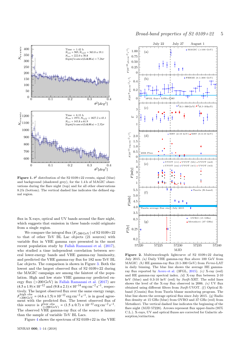

<span id="page-4-0"></span>Figure 1.  $\theta^2$  distribution of the S2 0109+22 events, signal (blue) and background (shadowed grey), for the 1.4 h of MAGIC observations during the flare night (top) and for all other observations 8.2 h (bottom). The vertical dashed line indicates the defined signal region.

flux in X-rays, optical and UV bands around the flare night, which suggests that emission in these bands could originate from a single region.

We compare the integral flux  $(F_{>200 \text{ GeV}})$  of S2 0109+22 to that of other TeV BL Lac objects (21 sources) with variable flux in VHE gamma rays presented in the most recent population study by [Fallah Ramazani et al.](#page-12-38) [\(2017](#page-12-38)), who studied a time independent correlation between several lower-energy bands and VHE gamma-ray luminosity, and predicted the VHE gamma-ray flux for 182 non-TeV BL Lac objects. The comparison is shown in Figure [3.](#page-5-0) Both the lowest and the largest observed flux of S2 0109+22 during the MAGIC campaign are among the faintest of the population. High and low state VHE gamma-ray predicted energy flux (>200 GeV) in [Fallah Ramazani et al.](#page-12-38) [\(2017](#page-12-38)) are  $(4.5 \pm 1.9) \times 10^{-12}$  and  $(9.8 \pm 2.1) \times 10^{-14}$  erg cm<sup>-2</sup> s<sup>-1</sup>, respectively. The largest observed flux over the same energy range,  $F_{>200\,\text{GeV}}^{\text{high obs}} = (4.6 \pm 1.5) \times 10^{-12}\,\text{erg}\,\text{cm}^{-2}\,\text{s}^{-1}$ , is in good agreement with the predicted flux. The lowest observed flux of this source is  $F_{(>200\text{GeV})}^{\text{low obs}} = (1.5 \pm 0.7) \times 10^{-12} \text{ erg cm}^{-2} \text{ s}^{-1}.$ The observed VHE gamma-ray flux of the source is fainter than the sample of variable TeV BL Lacs.

Figure [4](#page-5-1) shows the spectrum of S2 0109+22 in the VHE



<span id="page-4-1"></span>Figure 2. Multiwavelength lightcurve of S2 0109+22 during July 2015. (a) Daily VHE gamma-ray flux above 100 GeV from MAGIC. (b) HE gamma-ray flux (0.1-300 GeV) from Fermi-LAT in daily binning. The blue line shows the average HE gammaray flux reported by [Acero et al.](#page-12-26) (3FGL, [2015](#page-12-26)). (c) X-ray (red) and HE gamma-ray spectral index. (d) X-ray flux between 2-10 keV (blue) and 0.3-10 keV (red) by Swift-XRT. The solid lines shows the level of the X-ray flux observed in 2006.  $(e)$  UV flux obtained using different filters from Swift-UVOT. (f) Optical Rband (Cousin) flux from Tuorla blazar monitoring program. The blue line shows the average optical flux since July 2015.  $(g)$  Radio flux density at 15 GHz (blue) from OVRO and 37 GHz (red) from Metsähovi. The vertical dashed line indicates the beginning of the flare night (MJD 57228). Arrows represent flux upper-limits (95%) C.L.). X-rays, UV and optical fluxes are corrected for Galactic absorption/extinction.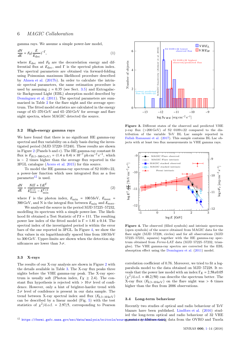gamma rays. We assume a simple power-law model,

$$
\frac{dN}{dE} = F_0 \left(\frac{E}{E_{\text{dec}}}\right)^{-\Gamma},\tag{1}
$$

where  $E_{\text{dec}}$  and  $F_0$  are the decorrelation energy and differential flux at  $E_{\text{dec}}$ , and  $\Gamma$  is the spectral photon index. The spectral parameters are obtained via forward-folding using Poissonian maximum likelihood procedure described by [Ahnen et al.](#page-12-44) [\(2017b\)](#page-12-44). In order to calculate the intrinsic spectral parameters, the same estimation procedure is used by assuming  $z = 0.35$  (see Sect. [3.5\)](#page-8-0) and Extragalactic Background Light (EBL) absorption model described by Domínguez et al.  $(2011)$  $(2011)$ . The spectral parameters are summarized in Table [2](#page-14-1) for the flare night and the average spectrum. The fitted model statistics are calculated in the energy range of 65–370 GeV and 65–250 GeV for average and flare night spectra, where MAGIC detected the source.

#### <span id="page-5-3"></span>3.2 High-energy gamma rays

We have found that there is no significant HE gamma-ray spectral and flux variability on a daily basis during the investigated period (MJD 57220–57240). These results are shown in Figure [2](#page-4-1) (Panels b and c). The HE gamma-ray constant fit flux is  $F_{(0.1-300 \text{ GeV})} = (1.4 \pm 0.4) \times 10^{-7} \text{ ph cm}^{-2} \text{ s}^{-1}$ , which is ∼ 2 times higher than the average flux reported in the 3FGL catalogue [\(Acero et al. 2015](#page-12-26)) for this source.

To model the HE gamma-ray spectrum of S2 0109+22, a power-law function which uses integrated flux as a free  $\mu$ <sub>parameter</sub><sup>[12](#page-5-2)</sup> is used.

$$
\frac{dN}{dE} = \frac{N(\Gamma + 1)E^{\Gamma}}{E_{\text{max}}^{\Gamma+1} - E_{\text{min}}^{\Gamma+1}}\tag{2}
$$

where  $\Gamma$  is the photon index,  $E_{\text{min}} = 100 \text{ MeV}$ ,  $E_{\text{max}} =$ 300 GeV, and N is the integral flux between *E*min and *E*max.

We analysed the source in the period MJD 57225–57232, modelling its spectrum with a simple power-law. The likelihood fit obtained a Test Statistic of *TS* = 111. The resulting power law index of the fitted model is  $\Gamma = 1.81 \pm 0.14$ . The spectral index of the investigated period is within the error bars of the one reported in 3FGL. In Figure [4,](#page-5-1) we show the flux values in six logarithmically spaced bins from 100 MeV to 300 GeV. Upper-limits are shown when the detection significances are lower than  $3\sigma$ .

#### 3.3 X-rays

The results of our X-ray analysis are shown in Figure [2](#page-4-1) with the details available in Table [3.](#page-14-2) The X-ray flux peaks three nights before the VHE gamma-ray peak. The X-ray spectrum is usually soft (Photon index,  $\Gamma_X \geq 2.4$ ). The constant flux hypothesis is rejected with  $> 10\sigma$  level of confidence. However, only a hint of brighter-harder trend with  $2\sigma$  level of confidence is present in our data sample. The trend between X-ray spectral index and flux  $(F_{0.3-10 \text{ keV}})$ can be described by a linear model (Fig. [5\)](#page-6-0) with the test statistics of  $\chi^2/\text{d.o.f.} = 2.97/5$ , corresponding to Pearson



<span id="page-5-0"></span>Figure 3. Different states of the observed and predicted VHE  $\gamma$ -ray flux (>200 GeV) of S2 0109+22 compared to the distribution of the variable TeV BL Lac sample reported in [Fallah Ramazani et al.](#page-12-38) [\(2017](#page-12-38)). This sample contains BL Lac objects with at least two flux measurements in VHE gamma rays.



<span id="page-5-1"></span>Figure 4. The observed (filled symbols) and intrinsic spectrum (open symbols) of the source obtained from MAGIC data for the flare night (MJD 57228, circles) and for all observations (MJD 57225–57231, squares) together with the HE gamma-ray spectrum obtained from Fermi-LAT data (MJD 57225–57232, triangles). The VHE gamma-ray spectra are corrected for the EBL absorption effect using the Domínguez et al. [\(2011](#page-12-45)) model.

correlation coefficient of 0.76. Moreover, we tried to fit a logparabola model to the data obtained on MJD 57228. It reveals that the power law model with an index  $\Gamma_X = 2.58 \pm 0.05$  $(\chi^2/{\rm d.o.f.} = 48.2/50)$  can describe the spectrum better. The X-ray flux  $(F_{0,3-10 \text{ keV}})$  on the flare night was > 6 times higher than the flux from 2006 observations.

## 3.4 Long-term behaviour

<span id="page-5-2"></span> $^{12}$  https://fermi.gsfc.nasa.gov/ssc/data/analysis/scitools/sourc**gammad-rayt.hil#Dawsrusin**g data from the OVRO and Tuorla Recently two studies of optical and radio behaviour of TeV blazars have been published. [Lindfors et al.](#page-12-46) [\(2016](#page-12-46)) studied the long-term optical and radio behaviour of 32 VHE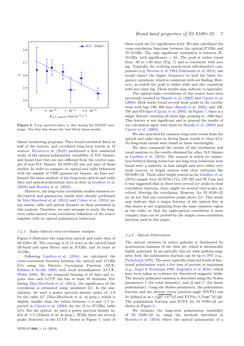

<span id="page-6-0"></span>Figure 5. X-ray spectral index vs. flux during the MAGIC campaign. The blue line shows the best fitted linear model.

blazar monitoring programs. They found correlated flares in half of the sources, and correlated long-term trends in 13 sources. [Hovatta et al.](#page-12-47) [\(2016](#page-12-47)) performed a first statistical study of the optical polarization variability of TeV blazars, and found that they are not different from the control sample of non-TeV blazars. S2 0109+22 was not part of those studies. In order to compare its optical and radio behaviour with the sample of VHE gamma-ray blazars, we have performed the same analysis of the long-term optical and radio data and optical-polarization data as done in [Lindfors et al.](#page-12-46) [\(2016](#page-12-46)) and [Hovatta et al.](#page-12-47) [\(2016](#page-12-47)).

Moreover, the long-term correlation studies between radio/optical and gamma-ray bands were already performed by [Max-Moerbeck et al.](#page-12-48) [\(2014\)](#page-12-48) and [Cohen et al.](#page-12-49) [\(2014\)](#page-12-49) using similar radio and optical datasets as those presented in this analysis. Therefore, we only attempt to study the longterm radio-optical cross-correlation behaviour of the source together with its optical polarization behaviour.

#### <span id="page-6-1"></span>3.4.1 Radio-Optical cross-correlation analysis

Figure [6](#page-7-0) illustrates the long-term optical and radio data of S2 0109+22. The coverage is of 12 years in the optical band (R-band and open filters) and at 37 GHz, and 10 years at 15 GHz.

Following [Lindfors et al.](#page-12-46) [\(2016\)](#page-12-46), we calculated the cross-correlation function between the optical and 15 GHz LCs using the Discrete Correlation Function (DCF; [Edelson & Krolik 1988](#page-12-50)) with local normalization (LCCF; [Welsh 1999](#page-13-10)). We use temporal binning of 10 days and require that each LCCF bin has at least 10 elements. Following [Max-Moerbeck et al.](#page-12-48) [\(2014](#page-12-48)), the significance of the correlation is estimated using simulated LC. In the simulations, we used a power spectral density index of -1.8 for the radio LC (Max-Moerbeck et al. in prep.), which is slightly smaller than the values between -1.4 and -1.7 reported in [Ciprini et al.](#page-12-18) [\(2004](#page-12-18)) for the (8 to 37 GHz) radio LCs. For the optical, we used a power spectral density index of -1.5 (Nilsson et al. in prep.). While there are several peaks (features) in the LCCF, shown in Figure [7,](#page-8-1) none of

them reach the  $2\sigma$  significance level. We also calculated the cross-correlation functions between the optical-37 GHz and 37-15 GHz. The only significant correlation is between 37- 15 GHz, with significance  $> 3\sigma$ . The peak is rather broad from  $-40$  to  $+30$  days (Fig. [7\)](#page-8-1) and is consistent with zero lag. Typically, for evolving synchrotron self-absorbed components (e.g. [Stevens et al. 1994](#page-13-11); [Fuhrmann et al. 2014](#page-12-51)), one would expect the higher frequency to lead the lower frequency variations, which is consistent with our finding. However, as stated the peak is rather wide and also consistent with zero time lag. These results may indicate co-spatiality.

The optical-radio correlations of this source have been previously studied by [Hanski et al.](#page-12-52) [\(2002\)](#page-12-52) and [Ciprini et al.](#page-12-18) [\(2004](#page-12-18)). Both works found several weak peaks in the correlations with lags 190, 400 days [\(Hanski et al. 2002\)](#page-12-52), and 190, 789 and 879 days [\(Ciprini et al. 2004\)](#page-12-18). In Figure [7,](#page-8-1) there is a single 'feature' covering all these lags, peaking at ∼500 days. This feature is not significant and in general the results of our calculation agree with those by [Hanski et al.](#page-12-52) [\(2002](#page-12-52)) and [Ciprini et al.](#page-12-18) [\(2004\)](#page-12-18).

We also searched for common long-term trends from the optical and radio data by fitting linear trends to these LCs. No long-term trends were found at these wavelengths.

We then compared the results of the correlation and trend analyses to the results obtained for other TeV blazars in [Lindfors et al.](#page-12-46) [\(2016](#page-12-46)). The sources in which no connection between flaring behaviour nor long term behaviour were found were a minority in that sample and were either very weak sources, or bright sources with clear outbursts like S2 0109+22. These other bright sources in the [Lindfors et al.](#page-12-46) [\(2016](#page-12-46)) sample were S5 0716+714, ON 325 and W Com and it was suggested that as there were several  $2\sigma$  peaks in their correlation function, there might be several time-scales involved, blurring the correlation. However, for S2 0109+22 we do not find any correlation peaks above  $2\sigma$ . This result may indicate that a major fraction of the optical flux in this source is not originating from the same emission region as the radio, or that the radio-optical correlation is more complex than can be probed by the simple cross-correlation function used in this paper.

#### 3.4.2 Optical Polarization

The optical emission in active galaxies is dominated by synchrotron emission of the their jet, which is intrinsically highly polarized. In an optically thin jet with uniform magnetic field, the polarization fraction can be up to 70% (e.g., [Pacholczyk 1970](#page-12-53)). The more typically observed levels of fractional polarization reach a few tens of percent at maximum (e.g., [Angel & Stockman 1980](#page-12-54); [Angelakis et al. 2016](#page-12-55)), which have been taken as evidence for disordered magnetic fields. The linearly polarized emission is described using the Stokes parameters  $I$  (for total intensity), and  $Q$  and  $U$  (for linear polarization). Using the Stokes parameters, the polarization fraction and the electric vector position angle (EVPA) can be defined as  $m = (\sqrt{Q^2 + U^2})/I$  and EVPA=  $1/2 \tan^{-1}(U/Q)$ . The polarization fraction and EVPA for S2 0109+22 are shown in Figure [8.](#page-9-0)

We estimate the long-term polarization variability of S2 0109+22 by using the methods described in [Hovatta et al.](#page-12-47) [\(2016](#page-12-47)) where the optical polarization of a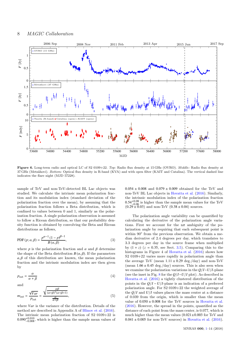

<span id="page-7-0"></span>Figure 6. Long-term radio and optical LC of S2 0109+22. Top: Radio flux density at 15 GHz (OVRO). Middle: Radio flux density at 37 GHz (Metsähovi). Bottom: Optical flux density in R-band (KVA) and with open filter (KAIT and Catalina). The vertical dashed line indicates the flare night (MJD 57228).

sample of TeV and non-TeV-detected BL Lac objects was studied. We calculate the intrinsic mean polarization fraction and its modulation index (standard deviation of the polarization fraction over the mean), by assuming that the polarization fraction follows a Beta distribution, which is confined to values between 0 and 1, similarly as the polarization fraction. A single polarization observation is assumed to follow a Ricean distribution, so that our probability density function is obtained by convolving the Beta and Ricean distributions as follows,

$$
PDF(p; \alpha, \beta) = \frac{p^{\alpha - 1} (1 - p)^{\beta - 1}}{B(\alpha, \beta)},
$$
\n(3)

where  $p$  is the polarization fraction and  $\alpha$  and  $\beta$  determine the shape of the Beta distribution  $B(\alpha, \beta)$ . If the parameters  $a, \beta$  of this distribution are known, the mean polarization fraction and the intrinsic modulation index are then given by

$$
p_{int} = \frac{\alpha}{\alpha + \beta} \tag{4}
$$

and

$$
m_{\text{int}} = \frac{\sqrt{Var}}{p_{\text{int}}} = \frac{\sqrt{\frac{\alpha \beta}{(\alpha + \beta)^2 (\alpha + \beta + 1)}}}{\frac{\alpha}{\alpha + \beta}},\tag{5}
$$

where *Var* is the variance of the distribution. Details of the method are described in Appendix A of [Blinov et al.](#page-12-56) [\(2016](#page-12-56)). The intrinsic mean polarization fraction of S2 0109+22 is  $0.090^{+0.010}_{-0.008}$ , which is higher than the sample mean values of  $0.054 \pm 0.008$  and  $0.079 \pm 0.009$  obtained for the TeV and non-TeV BL Lac objects in [Hovatta et al.](#page-12-47) [\(2016](#page-12-47)). Similarly, the intrinsic modulation index of the polarization fraction  $0.54^{+0.08}_{-0.06}$  is higher than the sample mean values for the TeV<br> $(0.20 \pm 0.03)$  and non TeV  $(0.38 \pm 0.04)$  sauress  $(0.29 \pm 0.03)$  and non-TeV  $(0.38 \pm 0.04)$  sources.

The polarization angle variability can be quantified by calculating the derivative of the polarization angle variations. First we account for the  $n\pi$  ambiguity of the polarization angle by requiring that each subsequent point is within  $90^{\circ}$  from the previous observation. We obtain a median derivative of 2.4 degrees per day, which translates to 3.3 degrees per day in the source frame when multiplied by  $(1 + z)$   $(z = 0.35$ , see Sect. [3.5\)](#page-8-0). Comparing this to the histograms in Figure 4 of [Hovatta et al.](#page-12-47)  $(2016)$  shows how S2 0109+22 varies more rapidly in polarization angle than the average TeV (mean  $1.11 \pm 0.29$  deg./day) and non-TeV (mean  $1.66 \pm 0.45$  deg./day) sources. This is also seen when we examine the polarization variations in the *Q*/*I*−*U*/*I*-plane (see the inset in Fig. [8](#page-9-0) for the *Q*/*I*−*U*/*I* plot). As described in [Hovatta et al.](#page-12-47) [\(2016\)](#page-12-47) a tightly clustered distribution of the points in the  $Q/I - U/I$ -plane is an indication of a preferred polarization angle. For S2 0109+22 the weighted average of the *Q*/*I* and *U*/*I* values places the mass center at a distance of 0.039 from the origin, which is smaller than the mean value of  $0.050 \pm 0.008$  for the TeV sources in [Hovatta et al.](#page-12-47) [\(2016](#page-12-47)). However, the spread in the points, quantified as the distance of each point from the mass center, is 0.077, which is much higher than the mean values  $(0.021 \pm 0.003$  for TeV and  $0.041 \pm 0.005$  for non-TeV sources) in [Hovatta et al.](#page-12-47) [\(2016](#page-12-47)).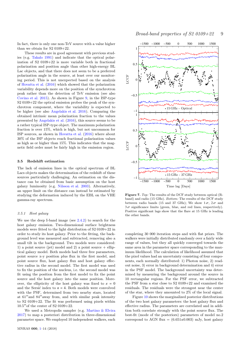In fact, there is only one non-TeV source with a value higher than we obtain for S2 0109+22.

These results are in good agreement with previous studies (e.g. [Takalo 1991\)](#page-13-2) and indicate that the optical polarization of S2 0109+22 is more variable both in fractional polarization and position angle than other high-energy BL Lac objects, and that there does not seem to be a preferred polarization angle in the source, at least over our monitoring period. This is not unexpected based on the analysis of [Hovatta et al.](#page-12-47) [\(2016](#page-12-47)) which showed that the polarization variability depends more on the position of the synchrotron peak rather than the detection of TeV emission (see also [Covino et al. 2015](#page-12-57)). As shown in Figure [9,](#page-9-1) in the ISP-type S2 0109+22 the optical emission probes the peak of the synchrotron component, where the variability is expected to be higher (see also [Angelakis et al. 2016](#page-12-55)). Comparing the obtained intrinsic mean polarization fraction to the values presented by [Angelakis et al.](#page-12-55) [\(2016\)](#page-12-55), this source seems to be a rather typical ISP-type object. The maximum polarization fraction is over 15%, which is high, but not uncommon for ISP sources, as shown in [Hovatta et al.](#page-12-47) [\(2016\)](#page-12-47) where about 30% of the ISP objects reach fractional polarization values as high as or higher than 15%. This indicates that the magnetic field order must be fairly high in the emission region.

#### <span id="page-8-0"></span>3.5 Redshift estimation

The lack of emission lines in the optical spectrum of BL Lacs objects makes the determination of the redshift of these sources particularly challenging. An estimation on the distance can be obtained from basic assumption on the host galaxy luminosity (e.g. [Nilsson et al. 2003](#page-12-58)). Alternatively, an upper limit on the distance can instead be estimated by studying the deformation induced by the EBL on the VHE gamma-ray spectrum.

#### <span id="page-8-2"></span>3.5.1 Host galaxy

We use the deep I-band image (see [2.4.2\)](#page-3-6) to search for the host galaxy emission. Two-dimensional surface brightness models were fitted to the light distribution of S2 0109+22 in order to study its host galaxy. Prior to the fitting, the background level was measured and subtracted, removing also a small tilt in the background. Two models were considered: 1) a point source (jet) model and 2) a point source  $+$  elliptical galaxy model. Both models had three free parameters, point source x-y position plus flux in the first model, and point source flux, host galaxy flux and host galaxy effective radius in the second model. The first model was used to fix the position of the nucleus, i.e. the second model was fit using the position from the first model to fix the point source and the host galaxy into the same position. Moreover, the ellipticity of the host galaxy was fixed to  $\varepsilon = 0$ and the Sersić index to  $n = 4$ . Both models were convolved with the PSF, determined from two nearby stars, located at 61′′and 84′′away from, and with similar peak intensity to S2 0109+22. The fit was performed using pixels within 10.5′′of the center of S2 0109+22.

We used a Metropolis sampler (e.g. [Martino & Elvira](#page-12-59) [2017](#page-12-59)) to map a posteriori distribution in three-dimensional parameter space. We employed 10 independent walkers, each



<span id="page-8-1"></span>Figure 7. Top: The results of the DCF study between optical (Rband) and radio (15 GHz). Bottom: The results of the DCF study between radio bands (15 and 37 GHz); We show  $1\sigma$ ,  $2\sigma$  and  $3\sigma$  significance limits (green, blue, and red lines, respectively). Positive significant lags show that the flare at 15 GHz is leading the other bands.

completing 30 000 iteration steps and with flat priors. The walkers were initially distributed randomly over a fairly wide range of values, but they all quickly converged towards the same area in the parameter space corresponding to the maximum likelihood. The calculation of likelihood assumed that the pixel values had an uncertainty consisting of four components, each normally distributed: 1) Photon noise, 2) readout noise, 3) error in background determination and 4) error in the PSF model. The background uncertainty was determined by measuring the background around the source in 10 rectangular regions. For the PSF error, we subtracted the PSF from a star close to S2 0109+22 and examined the residuals. The residuals were the strongest near the center of the star, where they amounted to 2% of the local signal.

Figure [10](#page-10-0) shows the marginalized posterior distributions of the two host galaxy parameters: the host galaxy flux and effective radius. The parameters are correlated and in addition both correlate strongly with the point source flux. The best-fit (mode of the posteriors) parameters of model no.2 correspond to AGN flux  $= (6.651 \pm 0.003)$  mJy, host galaxy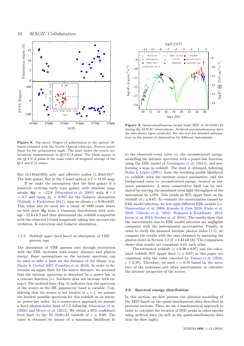

<span id="page-9-0"></span>Figure 8. Top panel: Degree of polarization in the optical (Rband) obtained with the Nordic Optical telescope. Bottom panel: Same for the polarization angle. The inset shows the source polarization measurements in  $Q/I-U/I$ -plane. The black square in the  $Q/I-U/I$ -plane is the mass center of weighted average of the  $Q/I$  and  $U/I$  values.

flux  $(0.149\pm0.003)$  mJy and effective radius  $(1.40\pm0.04)$ . The host galaxy flux in the I-band optical is  $I = 18.05$  mag.

If we make the assumption that the host galaxy is a passively evolving early type galaxy with absolute magnitude  $M_R$  = −22.8 [\(Sbarufatti et al. 2005](#page-13-12)) with  $R - I$  $= 0.7$  and using  $A_I = 0.057$  for the Galactic absorption [\(Schlafly & Finkbeiner 2011](#page-13-7)), then we obtain  $z = 0.36 \pm 0.07$ . This value and its error are a result of 1000 trials where we first drew  $M_R$  from a Gaussian distribution with average  $-22.8 \pm 0.5$  and then determined the redshift compatible with the observed I-band magnitude taking into account the evolution, K-correction and Galactic absorption.

## 3.5.2 Redshift upper limit based on absorption of VHE gamma rays

The absorption of VHE gamma rays through interaction with the EBL increases with source distance and photon energy. Basic assumptions on the intrinsic spectrum can be used to infer a limit on the distance of the blazar (e.g. [Mazin & Goebel 2007](#page-12-60); [Prandini et al. 2010](#page-13-13)). In order to determine an upper limit for the source distance, we assumed that the intrinsic spectrum is described by a power law or a concave function (i.e. hardness does not increase with energy). The archival data (Fig. [9\)](#page-9-1) indicates that the spectrum of the source in the HE gamma-ray band is variable. Considering that the source is not located at  $z > 1$ , we assume the hardest possible spectrum for this redshift as an intrinsic power-law index. As a conservative approach we assume a fixed photon-index limit of 1.5 following [Aharonian et al.](#page-12-61) [\(2006](#page-12-61)) and [Meyer et al.](#page-12-62) [\(2012\)](#page-12-62). We obtain a 95% confidence level limit to the S2 0109+22 redshift of  $z \le 0.60$ . The value is obtained by means of a maximum likelihood fit



<span id="page-9-1"></span>Figure 9. Quasi-simultaneous broad band SED of S2 0109+22 during the MAGIC observations. Archival non-simultaneous data are also shown (grey symbols). See the text for detailed information on the period of observation by different instruments.

to the observed event rates vs. the reconstructed energy, modelling the intrinsic spectrum with a power-law function, using the EBL model of Domínguez et al.  $(2011)$  $(2011)$ , and performing a scan in redshift. The limit is obtained, following Rolke  $&$  López [\(2001](#page-13-14)), from the resulting profile likelihood vs. redshift, with the intrinsic source parameters, and the background rates vs. reconstructed energy, treated as nuisance parameters. A more conservative limit can be estimated by varying the simulated total light throughput of the instrument by  $\pm 15\%$ . This yields an 95% upper limit on the redshift of  $z \leq 0.67$ . To estimate the uncertainties caused by EBL model selection, we test eight different EBL models (i.e. [Franceschini et al. 2008](#page-12-63); [Kneiske & Dole 2010;](#page-12-64) [Finke et al.](#page-12-65) [2010](#page-12-65); [Gilmore et al. 2012;](#page-12-66) [Helgason & Kashlinsky 2012;](#page-12-67) [Inoue et al. 2013;](#page-12-68) [Stecker et al. 2016\)](#page-13-15). The results show that the uncertainties due to EBL model selection are negligible compared with the instrumental uncertainties. Finally, in order to verify the assumed intrinsic photon index (1.5), we compare the results with the ones obtained by assuming the photon index in Section [3.2](#page-5-3) ( $\Gamma = 1.81 \pm 0.14$ ). The comparison shows that results are consistent with each other.

The estimated redshift  $(z = 0.36 \pm 0.07)$  and the calculated redshift 95% upper limit  $(z \leq 0.67)$  in this paper are consistent with the value reported by [Paiano et al.](#page-13-4) [\(2016,](#page-13-4)  $z > 0.35$ ). Therefore, we used  $z = 0.35$  based on the accuracy of the technique and other uncertainties, to calculate the intrinsic properties of the source.

#### <span id="page-9-2"></span>3.6 Spectral energy distribution

In this section, we first present the physical modelling of the SED based on the quasi-simultaneous data described in previous sections. Then, we use a mathematical approach in order to calculate the location of SED peaks in other epochs using archival data (as well as the quasi-simultaneous data near the flare night).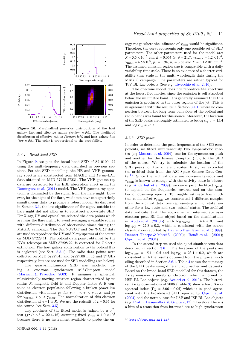

<span id="page-10-0"></span>Figure 10. Marginalized posterior distributions of the host galaxy flux and effective radius (bottom-right). The likelihood distribution of effective radius *(bottom-left)* and host galaxy flux (top-right). The color is proportional to the probability.

## <span id="page-10-2"></span>3.6.1 Broad band SED

In Figure [9,](#page-9-1) we plot the broad-band SED of S2 0109+22 using the multi-frequency data described in previous sections. For the SED modelling, the HE and VHE gammaray spectra are constructed from MAGIC and Fermi-LAT data obtained on MJD 57225-57231. The VHE gamma-ray data are corrected for the EBL absorption effect using the Domínguez et al. [\(2011](#page-12-45)) model. The VHE gamma-ray spectrum is dominated by the signal from the flare night. However, for the night of the flare, we do not have enough strictly simultaneous data to produce a robust model. As discussed in Section [3.1,](#page-3-7) the low significance of the signal outside the flare night did not allow us to construct a low-state SED. For X-ray, UV and optical, we selected the data points which are near the flare night, to avoid averaging a variable source with different distribution of observation times during the MAGIC campaign. The Swift-UVOT and Swift-XRT data are used to reproduce the UV and X-ray spectra of the source on MJD 57228.41. The optical data point, obtained by the KVA telescope on MJD 57228.22, is corrected for Galactic extinction. The host galaxy contribution to the optical flux is neglected (see Sect. [3.5.1\)](#page-8-2). The radio data points were collected on MJD 57227.41 and 57227.08 in 15 and 37 GHz respectively, but are not used for SED modelling (see below).

The quasi-simultaneous SED was modelled using a one-zone synchrotron self-Compton model [\(Maraschi & Tavecchio 2003\)](#page-12-69). It assumes a spherical, relativistically moving emission region characterized by its radius  $R$ , magnetic field B and Doppler factor  $\delta$ . It contains an electron population following a broken power-law distribution with index  $p_1$  for  $\gamma_{\text{min}} < \gamma < \gamma_{\text{break}}$  and  $p_2$ for  $\gamma_{\text{break}} < \gamma < \gamma_{\text{max}}$ . The normalization of this electron distribution at  $\gamma=1$  is *K*. We use the redshift of  $z=0.35$  for the source (see Sect. [3.5\)](#page-8-0).

The goodness of the fitted model is judged by a  $\chi^2$ test  $(\chi^2/\text{d.o.f} = 22.4/16)$  assuming fixed  $\gamma_{\text{min}} = 1.0 \times 10^3$ because there is no instrument available to probe the energy range where the influence of  $\gamma_{\rm min}$  would be significant. Therefore, the curve represents only one possible set of SED parameters. The other parameters used for the model are:  $R = 5.5 \times 10^{16}$  cm,  $B = 0.054$  G,  $\delta = 21.7$ ,  $\gamma_{\text{break}} = 1.2 \times 10^4$ ,  $\gamma_{\text{max}} = 4.5 \times 10^5$ ,  $p_1 = 1.94$ ,  $p_2 = 3.68$  and  $K = 3.1 \times 10^3$  cm<sup>-3</sup>. The assumed emission region size is compatible with a daily variability time scale. There is no evidence of a shorter variability time scale in the multi wavelength data during the MAGIC campaign. The parameters are rather typical for TeV BL Lac objects (See e.g. [Tavecchio et al. 2010](#page-13-16)).

The one-zone model does not reproduce the spectrum at the lowest frequencies, since the emission is self-absorbed below the millimetre band. It is generally assumed that this emission is produced in the outer regions of the jet. This is in agreement with the results in Section [3.4.1,](#page-6-1) where no connection between the long-term behaviour of the optical and radio bands was found for this source. Moreover, the location of the SED peaks are roughly estimated to be log  $v_{\text{sync}} \approx 15.4$ and  $\log v_{\rm IC} \simeq 23.3$ .

## <span id="page-10-3"></span>3.6.2 SED peaks

In order to determine the peak frequencies of the SED components, we fitted simultaneously two log-parabolic spectra (e.g [Massaro et al. 2004](#page-12-70)), one for the synchrotron peak and another for the Inverse Compton (IC), to the SED of the source. We try to calculate the location of the SED peaks for two different states. First, we extracted the archival data from the ASI Space Science Data Cen- $\text{ter}^{\text{13}}$  $\text{ter}^{\text{13}}$  $\text{ter}^{\text{13}}$ . Since the archival data are non-simultaneous and  $v_{\text{peak}}$  is known to change with the activity state in blazars (e.g. [Anderhub et al. 2009](#page-12-71)), we can expect the fitted  $v_{\text{peak}}$ to depend on the frequencies covered and on the number of observing epochs. To roughly estimate how much this could affect  $\nu_{\rm peak}$  we constructed 4 different samples from the archival data, one representing a high state, another for a low state and two 'mixed' states. The archival data indicate that the source is an intermediate synchrotron peak BL Lac object based on the classifications in [Abdo et al.](#page-12-12) [\(2010b\)](#page-12-12) with  $\log v_{\text{sync}} = 14.4 \pm 0.1$  and  $\log v_{\rm IC}$  = 22.8  $\pm$  0.2, which is consistent with the source classification reported by [Laurent-Muehleisen et al.](#page-12-19) [\(1999](#page-12-19)); Dennett-Thorpe & Marchã [\(2000](#page-12-20)); [Bondi et al.](#page-12-21) [\(2001](#page-12-21)); [Ciprini et al.](#page-12-18) [\(2004\)](#page-12-18).

In the second step we used the quasi-simultaneous data described in section [3.6.1.](#page-10-2) The locations of the peaks are  $\log v_{\text{sync}} = 15.1 \pm 0.5$  and  $\log v_{\text{IC}} = 23.1 \pm 0.2$ , which are consistent with the results obtained from the physical modelling described in Section [3.6.1.](#page-10-2) Table [4](#page-14-3) shows the summary of the SED peaks using different approaches and datasets. Based on the broad-band SED modelled for this dataset, the X-ray emission is purely synchrotron, which is normal for HSP BL Lac objects (e.g. [Acciari et al. 2010\)](#page-12-72). The historical X-ray observations of 2006 (Table [3\)](#page-14-2) show a hard X-ray spectral index  $(\Gamma_X = 2.06 \pm 0.05)$  which is in good agreement with the broad-band SED reported by [Ciprini et al.](#page-12-18) [\(2004](#page-12-18)) and the normal case for LSP and ISP BL Lac objects (e.g. [Pratim Basumallick & Gupta 2017\)](#page-13-17). Therefore, there is a hint of a transition from intermediate to high synchrotron

<span id="page-10-1"></span> $13$  <http://www.asdc.asi.it/>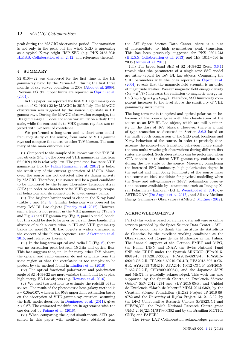peak during the MAGIC observation period. The transition is not only in the peak but the whole SED is appearing as a typical X-ray bright HSP SED (e.g. PKS 2155-304: [H.E.S.S. Collaboration et al. 2012,](#page-12-73) and references therein).

## <span id="page-11-0"></span>4 SUMMARY

S2 0109+22 was discovered for the first time in the HE gamma-ray band by the Fermi-LAT during the first three months of sky-survey operation in 2008 [\(Abdo et al. 2009](#page-12-74)). Previous EGRET upper limits are reported in [Ciprini et al.](#page-12-18)  $(2004).$  $(2004).$ 

In this paper, we reported the first VHE gamma-ray detection of S2 0109+22 by MAGIC in 2015 July. The MAGIC observation was triggered by the source high state in HE gamma rays. During the MAGIC observation campaign, the HE gamma-ray LC does not show variability on a daily time scale, while the constant fit to VHE gamma-ray flux was rejected with  $3\sigma$  level of confidence.

We performed a long-term and a short-term multifrequency study of the source, from radio to VHE gamma rays and compare the source to other TeV blazars. The summary of the main outcomes are:

(i) Compared to the sample of 21 known variable TeV BL Lac objects (Fig. [3\)](#page-5-0), the observed VHE gamma-ray flux from S2 0109+22 is relatively low. The predicted low state VHE gamma-ray flux by [Fallah Ramazani et al.](#page-12-38) [\(2017\)](#page-12-38) is below the sensitivity of the current generation of IACTs. Moreover, the source was not detected after its flaring activity by MAGIC. Therefore, this source will be a good candidate to be monitored by the future Cherenkov Telescope Array (CTA) in order to characterize its VHE gamma-ray temporal behaviour and its connection to lower energy bands.

(ii) The brighter-harder trend is clear in the X-ray band (Table [3](#page-14-2) and Fig. [5\)](#page-6-0). Similar behaviour was observed for many TeV BL Lac objects [\(Pandey et al. 2017](#page-13-18)). However, such a trend is not present in the VHE gamma-ray (Table [2](#page-14-1) and Fig. [4\)](#page-5-1) and HE gamma-ray (Fig. [2,](#page-4-1) panel b and c) bands, but this could be due to large error bars in these bands. The absence of such a correlation in HE and VHE gamma-ray bands for non-HSP BL Lac objects is widely discussed in the context of the 'blazar sequence' (see [Ackermann et al.](#page-12-75) [2015](#page-12-75), and references therein).

(iii) In the long-term optical and radio LC (Fig.  $6$ ), there was no correlation peak between 15 GHz and optical flux. This fact suggests that, unlike for many other TeV blazars, the optical and radio emission do not originate from the same region or that the correlation is too complex to be probed by the method found in [Lindfors et al.](#page-12-46) [\(2016](#page-12-46)).

(iv) The optical fractional polarization and polarization angle of S2 0109+22 are more variable than found for typical high-energy BL Lac objects (e.g. [Hovatta et al. 2016\)](#page-12-47).

(v) We used two methods to estimate the redshift of the source. The result of the photometric host-galaxy method is  $z = 0.36 \pm 0.07$ , whereas the 95% upper limit estimation based on the absorption of VHE gamma-ray emission, assuming the EBL model described in Domínguez et al. [\(2011](#page-12-45)), gives  $z \leq 0.67$ . The estimated redshifts are in agreement with the one derived by [Paiano et al.](#page-13-4) [\(2016](#page-13-4)).

(vi) When comparing the quasi-simultaneous SED presented in this paper with archival data obtained from the ASI Space Science Data Center, there is a hint of intermediate to high synchrotron peak transition. This has been previously suggested for PKS 0301-243 [\(H.E.S.S. Collaboration et al. 2013](#page-12-76)) and 1ES 1011+496 in 2008 [\(Ahnen et al. 2016](#page-12-77)).

(vii) The broad-band SED of S2  $0109+22$  (Sect.  $3.6.1$ ) reveals that the parameters of a single-zone SSC model are rather typical for TeV BL Lac objects. Comparing the SED parameters with the ones reported in [Ciprini et al.](#page-12-18) [\(2004](#page-12-18)) reveals that the magnetic field strength is an order of magnitude weaker. Weaker magnetic field energy density  $(U_B = B^2/8\pi)$  increases the radiation to magnetic energy ratio  $(U_{\text{rad}}/U_B = L_{\text{IC}}/L_{\text{sync}})$ . Therefore, SSC luminosity component increases to the level above the sensitivity of VHE gamma-ray instruments.

The long-term radio to optical and optical polarization behaviour of the source agree with the classification of the source as an ISP BL Lac object, which are still a minority in the class of TeV blazars. However, there is a hint of type transition as discussed in Section [3.6.2](#page-10-3) based on the multi epoch comparison of the SED peak locations and X-ray behaviour of the source. In order to precisely characterize the source-type transition behaviour, more simultaneous multi-wavelength observations during different flux states are needed. Such observations can be performed when CTA enables us to detect VHE gamma-ray emission also during the low state of the source. Moreover, considering the increased SSC luminosity, high polarization degree in the optical and high X-ray luminosity of the source make this source an ideal candidate for physical modelling when the X-ray and soft-gamma-ray (MeV) polarization observations become available by instruments such as Imaging Xray Polarimetry Explorer (IXPE, [Weisskopf et al. 2016](#page-13-19)), e-ASTROGAM [\(De Angelis et al. 2017](#page-12-78)), and All-sky Medium Energy Gamma-ray Observatory (AMEGO, [McEnery 2017](#page-12-79)).

#### ACKNOWLEDGMENTS

Part of this work is based on archival data, software or online services provided by the Space Science Data Center - ASI.

We would like to thank the Instituto de Astrofísica de Canarias for the excellent working conditions at the Observatorio del Roque de los Muchachos in La Palma. The financial support of the German BMBF and MPG, the Italian INFN and INAF, the Swiss National Fund SNF, the ERDF under the Spanish MINECO (FPA2015- 69818-P, FPA2012-36668, FPA2015-68378-P, FPA2015- 69210-C6-2-R, FPA2015-69210-C6-4-R, FPA2015-69210-C6- 6-R, AYA2015-71042-P, AYA2016-76012-C3-1-P, ESP2015- 71662-C2-2-P, CSD2009-00064), and the Japanese JSPS and MEXT is gratefully acknowledged. This work was also supported by the Spanish Centro de Excelencia "Severo Ochoa" SEV-2012-0234 and SEV-2015-0548, and Unidad de Excelencia "María de Maeztu" MDM-2014-0369, by the Croatian Science Foundation (HrZZ) Project IP-2016-06- 9782 and the University of Rijeka Project 13.12.1.3.02, by the DFG Collaborative Research Centers SFB823/C4 and SFB876/C3, the Polish National Research Centre grant UMO-2016/22/M/ST9/00382 and by the Brazilian MCTIC, CNPq and FAPERJ.

The Fermi-LAT Collaboration acknowledges generous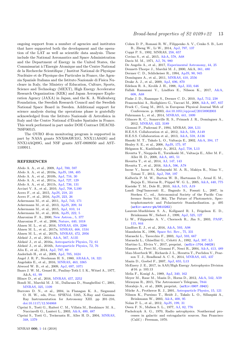ongoing support from a number of agencies and institutes that have supported both the development and the operation of the LAT as well as scientific data analysis. These include the National Aeronautics and Space Administration and the Department of Energy in the United States, the Commissariat à l'Energie Atomique and the Centre National de la Recherche Scientifique / Institut National de Physique Nucléaire et de Physique des Particules in France, the Agenzia Spaziale Italiana and the Istituto Nazionale di Fisica Nucleare in Italy, the Ministry of Education, Culture, Sports, Science and Technology (MEXT), High Energy Accelerator Research Organization (KEK) and Japan Aerospace Exploration Agency (JAXA) in Japan, and the K. A. Wallenberg Foundation, the Swedish Research Council and the Swedish National Space Board in Sweden. Additional support for science analysis during the operations phase is gratefully acknowledged from the Istituto Nazionale di Astrofisica in Italy and the Centre National d'Etudes Spatiales in France. ´ This work performed in part under DOE Contract DEAC02- 76SF00515.

The OVRO 40-m monitoring program is supported in part by NASA grants NNX08AW31G, NNX11A043G and NNX14AQ89G, and NSF grants AST-0808050 and AST-1109911.

#### **REFERENCES**

- <span id="page-12-74"></span>Abdo A. A., et al., 2009, [ApJ,](http://dx.doi.org/10.1088/0004-637X/700/1/597) [700, 597](http://adsabs.harvard.edu/abs/2009ApJ...700..597A)
- <span id="page-12-23"></span>Abdo A. A., et al., 2010a, [ApJS,](http://dx.doi.org/10.1088/0067-0049/188/2/405) [188, 405](http://adsabs.harvard.edu/abs/2010ApJS..188..405A)
- <span id="page-12-12"></span>Abdo A. A., et al., 2010b, [ApJ,](http://dx.doi.org/10.1088/0004-637X/716/1/30) [716, 30](http://adsabs.harvard.edu/abs/2010ApJ...716...30A)
- <span id="page-12-8"></span>Abdo A. A., et al., 2011a, [ApJ,](http://dx.doi.org/10.1088/0004-637X/727/2/129) [727, 129](http://adsabs.harvard.edu/abs/2011ApJ...727..129A)
- <span id="page-12-9"></span>Abdo A. A., et al., 2011b, [ApJ,](http://dx.doi.org/10.1088/0004-637X/736/2/131) [736, 131](http://adsabs.harvard.edu/abs/2011ApJ...736..131A)
- <span id="page-12-72"></span>Acciari V. A., et al., 2010, [ApJ,](http://dx.doi.org/10.1088/2041-8205/708/2/L100) [708, L100](http://adsabs.harvard.edu/abs/2010ApJ...708L.100A)
- <span id="page-12-26"></span>Acero F., et al., 2015, [ApJS,](http://dx.doi.org/10.1088/0067-0049/218/2/23) [218, 23](http://adsabs.harvard.edu/abs/2015ApJS..218...23A)
- <span id="page-12-36"></span>Acero F., et al., 2016, [ApJS,](http://dx.doi.org/10.3847/0067-0049/223/2/26) [223, 26](http://adsabs.harvard.edu/abs/2016ApJS..223...26A) Ackermann M., et al., 2011, [ApJ,](http://dx.doi.org/10.1088/0004-637X/743/2/171) [743, 171](http://adsabs.harvard.edu/abs/2011ApJ...743..171A)
- <span id="page-12-25"></span><span id="page-12-22"></span>Ackermann M., et al., 2013, [ApJS,](http://dx.doi.org/10.1088/0067-0049/209/2/34) [209, 34](http://adsabs.harvard.edu/abs/2013ApJS..209...34A)
- <span id="page-12-75"></span>Ackermann M., et al., 2015, [ApJ,](http://dx.doi.org/10.1088/0004-637X/810/1/14) [810, 14](http://adsabs.harvard.edu/abs/2015ApJ...810...14A)
- <span id="page-12-27"></span>Ackermann M., et al., 2016, [ApJS,](http://dx.doi.org/10.3847/0067-0049/222/1/5) [222, 5](http://adsabs.harvard.edu/abs/2016ApJS..222....5A)
- <span id="page-12-5"></span>Aharonian F. A., 2000, [New Astron.,](http://dx.doi.org/10.1016/S1384-1076(00)00039-7) [5, 377](http://adsabs.harvard.edu/abs/2000NewA....5..377A)
- <span id="page-12-61"></span>Aharonian F., et al., 2006, [Nature,](http://dx.doi.org/10.1038/nature04680) [440, 1018](http://adsabs.harvard.edu/abs/2006Natur.440.1018A)
- <span id="page-12-77"></span>Ahnen M. L., et al., 2016, [MNRAS,](http://dx.doi.org/10.1093/mnras/stw710) [459, 2286](http://adsabs.harvard.edu/abs/2016MNRAS.459.2286A)
- <span id="page-12-33"></span>Ahnen M. L., et al., 2017a, [MNRAS,](http://dx.doi.org/10.1093/mnras/stx472) [468, 1534](http://adsabs.harvard.edu/abs/2017MNRAS.468.1534A)
- <span id="page-12-44"></span>Ahnen M. L., et al., 2017b, [MNRAS,](http://dx.doi.org/10.1093/mnras/stx2079) [472, 2956](http://adsabs.harvard.edu/abs/2017MNRAS.472.2956A)
- <span id="page-12-10"></span>Aleksić J., et al., 2014, [A&A,](http://dx.doi.org/10.1051/0004-6361/201423364) [567, A135](http://adsabs.harvard.edu/abs/2014A%26A...567A.135A)
- <span id="page-12-32"></span>Aleksić J., et al., 2016a, [Astroparticle Physics,](http://dx.doi.org/10.1016/j.astropartphys.2015.04.004) [72, 61](http://adsabs.harvard.edu/abs/2016APh....72...61A)
- <span id="page-12-30"></span>Aleksić J., et al., 2016b, [Astroparticle Physics,](http://dx.doi.org/10.1016/j.astropartphys.2015.02.005) [72, 76](http://adsabs.harvard.edu/abs/2016APh....72...76A)
- <span id="page-12-7"></span>Aliu E., et al., 2014, [ApJ,](http://dx.doi.org/10.1088/0004-637X/797/2/89) [797, 89](http://adsabs.harvard.edu/abs/2014ApJ...797...89A)
- <span id="page-12-71"></span>Anderhub H., et al., 2009, [ApJ,](http://dx.doi.org/10.1088/0004-637X/705/2/1624) [705, 1624](http://adsabs.harvard.edu/abs/2009ApJ...705.1624A)
- <span id="page-12-54"></span>Angel J. R. P., Stockman H. S., 1980, [ARA&A,](http://dx.doi.org/10.1146/annurev.aa.18.090180.001541) [18, 321](http://adsabs.harvard.edu/abs/1980ARA%26A..18..321A)
- <span id="page-12-55"></span>Angelakis E., et al., 2016, [MNRAS,](http://dx.doi.org/10.1093/mnras/stw2217) [463, 3365](http://adsabs.harvard.edu/abs/2016MNRAS.463.3365A)
- <span id="page-12-35"></span>Atwood W. B., et al., 2009, [ApJ,](http://dx.doi.org/10.1088/0004-637X/697/2/1071) [697, 1071](http://adsabs.harvard.edu/abs/2009ApJ...697.1071A)
- <span id="page-12-43"></span>Baars J. W. M., Genzel R., Pauliny-Toth I. I. K., Witzel A., 1977, A&A, [61, 99](http://adsabs.harvard.edu/abs/1977A%26A....61...99B)
- <span id="page-12-56"></span>Blinov D., et al., 2016, [MNRAS,](http://dx.doi.org/10.1093/mnras/stw158) [457, 2252](http://adsabs.harvard.edu/abs/2016MNRAS.457.2252B)
- <span id="page-12-21"></span>Bondi M., Marchã M. J. M., Dallacasa D., Stanghellini C., 2001, [MNRAS,](http://dx.doi.org/10.1046/j.1365-8711.2001.04519.x) [325, 1109](http://adsabs.harvard.edu/abs/2001MNRAS.325.1109B)
- <span id="page-12-37"></span>Burrows D. N., et al., 2004, in Flanagan K. A., Siegmund O. H. W., eds, Proc. SPIEVol. 5165, X-Ray and Gamma-Ray Instrumentation for Astronomy XIII. pp 201–216, [doi:10.1117/12.504868](http://dx.doi.org/10.1117/12.504868)
- <span id="page-12-15"></span>Ciprini S., Tosti G., Raiteri C. M., Villata M., Ibrahimov M. A., Nucciarelli G., Lanteri L., 2003, [A&A,](http://dx.doi.org/10.1051/0004-6361:20030045) [400, 487](http://esoads.eso.org/abs/2003A%26A...400..487C)
- <span id="page-12-18"></span>Ciprini S., Tosti G., Teräsranta H., Aller H. D., 2004, [MNRAS,](http://dx.doi.org/10.1111/j.1365-2966.2004.07467.x) [348, 1379](http://adsabs.harvard.edu/abs/2004MNRAS.348.1379C)
- <span id="page-12-49"></span>Cohen D. P., Romani R. W., Filippenko A. V., Cenko S. B., Lott B., Zheng W., Li W., 2014, [ApJ,](http://dx.doi.org/10.1088/0004-637X/797/2/137) [797, 137](http://adsabs.harvard.edu/abs/2014ApJ...797..137C)
- <span id="page-12-2"></span>Coppi P. S., 1992, MNRAS, [258, 657](http://adsabs.harvard.edu/abs/1992MNRAS.258..657C)
- <span id="page-12-57"></span>Covino S., et al., 2015, [A&A,](http://dx.doi.org/10.1051/0004-6361/201525674) [578, A68](http://adsabs.harvard.edu/abs/2015A%26A...578A..68C)
- <span id="page-12-13"></span>Davis M. M., 1971, [AJ,](http://dx.doi.org/10.1086/111211) [76, 980](http://adsabs.harvard.edu/abs/1971AJ.....76..980D)
- <span id="page-12-78"></span>De Angelis A., et al., 2017, [Experimental Astronomy,](http://dx.doi.org/10.1007/s10686-017-9533-6) [44, 25](http://adsabs.harvard.edu/abs/2017ExA....44...25D)
- <span id="page-12-20"></span>Dennett-Thorpe J., March˜a M. J., 2000, A&A, [361, 480](http://adsabs.harvard.edu/abs/2000A%26A...361..480D)
- <span id="page-12-1"></span>Dermer C. D., Schlickeiser R., 1994, [ApJS,](http://dx.doi.org/10.1086/191929) [90, 945](http://adsabs.harvard.edu/abs/1994ApJS...90..945D)
- <span id="page-12-45"></span>Domínguez A., et al., 2011, [MNRAS,](http://dx.doi.org/10.1111/j.1365-2966.2010.17631.x) [410, 2556](http://adsabs.harvard.edu/abs/2011MNRAS.410.2556D)
- <span id="page-12-40"></span>Drake A. J., et al., 2009, [ApJ,](http://dx.doi.org/10.1088/0004-637X/696/1/870) [696, 870](http://adsabs.harvard.edu/abs/2009ApJ...696..870D)
- <span id="page-12-50"></span>Edelson R. A., Krolik J. H., 1988, [ApJ,](http://dx.doi.org/10.1086/166773) [333, 646](http://adsabs.harvard.edu/abs/1988ApJ...333..646E)
- <span id="page-12-38"></span>Fallah Ramazani V., Lindfors E., Nilsson K., 2017, [A&A,](http://dx.doi.org/10.1051/0004-6361/201730505) [608, A68](http://adsabs.harvard.edu/abs/2017A%26A...608A..68F)
- <span id="page-12-65"></span>Finke J. D., Razzaque S., Dermer C. D., 2010, [ApJ,](http://dx.doi.org/10.1088/0004-637X/712/1/238) [712, 238](http://adsabs.harvard.edu/abs/2010ApJ...712..238F)
- <span id="page-12-63"></span>Franceschini A., Rodighiero G., Vaccari M., 2008, [A&A,](http://dx.doi.org/10.1051/0004-6361:200809691) [487, 837](http://adsabs.harvard.edu/abs/2008A%26A...487..837F)
- <span id="page-12-34"></span>Fruck C., Gaug M., 2015, in European Physical Journal Web of Conferences. p. 02003, [doi:10.1051/epjconf/20158902003](http://dx.doi.org/10.1051/epjconf/20158902003)
- <span id="page-12-51"></span>Fuhrmann L., et al., 2014, [MNRAS,](http://dx.doi.org/10.1093/mnras/stu540) [441, 1899](http://adsabs.harvard.edu/abs/2014MNRAS.441.1899F)
- <span id="page-12-66"></span>Gilmore R. C., Somerville R. S., Primack J. R., Domínguez A., 2012, [MNRAS,](http://dx.doi.org/10.1111/j.1365-2966.2012.20841.x) [422, 3189](http://adsabs.harvard.edu/abs/2012MNRAS.422.3189G)
- <span id="page-12-11"></span>Giommi P., Padovani P., 1994, MNRAS, [268, L51](http://adsabs.harvard.edu/abs/1994MNRAS.268L..51G)
- <span id="page-12-73"></span>H.E.S.S. Collaboration et al., 2012, [A&A,](http://dx.doi.org/10.1051/0004-6361/201117509) [539, A149](http://adsabs.harvard.edu/abs/2012A%26A...539A.149H)
- <span id="page-12-76"></span>H.E.S.S. Collaboration et al., 2013, [A&A,](http://dx.doi.org/10.1051/0004-6361/201321639) [559, A136](http://adsabs.harvard.edu/abs/2013A%26A...559A.136H)
- <span id="page-12-52"></span>Hanski M. T., Takalo L. O., Valtaoja E., 2002, [A&A,](http://dx.doi.org/10.1051/0004-6361:20020988) [394, 17](http://adsabs.harvard.edu/abs/2002A%26A...394...17H)
- <span id="page-12-28"></span>Healey S. E., et al., 2008, [ApJS,](http://dx.doi.org/10.1086/523302) [175, 97](http://adsabs.harvard.edu/abs/2008ApJS..175...97H)
- <span id="page-12-67"></span>Helgason K., Kashlinsky A., 2012, [ApJ,](http://dx.doi.org/10.1088/2041-8205/758/1/L13) [758, L13](http://adsabs.harvard.edu/abs/2012ApJ...758L..13H)
- <span id="page-12-16"></span>Hovatta T., Nieppola E., Tornikoski M., Valtaoja E., Aller M. F., Aller H. D., 2008, [A&A,](http://dx.doi.org/10.1051/0004-6361:200809806) [485, 51](http://adsabs.harvard.edu/abs/2008A%26A...485...51H)
- <span id="page-12-17"></span>Hovatta T., et al., 2014, [AJ,](http://dx.doi.org/10.1088/0004-6256/147/6/143) [147, 143](http://adsabs.harvard.edu/abs/2014AJ....147..143H)
- <span id="page-12-47"></span>Hovatta T., et al., 2016, [A&A,](http://dx.doi.org/10.1051/0004-6361/201628974) [596, A78](http://adsabs.harvard.edu/abs/2016A%26A...596A..78H)
- <span id="page-12-68"></span>Inoue Y., Inoue S., Kobayashi M. A. R., Makiya R., Niino Y., Totani T., 2013, [ApJ,](http://dx.doi.org/10.1088/0004-637X/768/2/197) [768, 197](http://adsabs.harvard.edu/abs/2013ApJ...768..197I)
- <span id="page-12-39"></span>Kalberla P. M. W., Burton W. B., Hartmann D., Arnal E. M., Bajaja E., Morras R., Pöppel W. G. L., 2005, [A&A,](http://dx.doi.org/10.1051/0004-6361:20041864) [440, 775](http://adsabs.harvard.edu/abs/2005A%26A...440..775K)
- <span id="page-12-64"></span>Kneiske T. M., Dole H., 2010, [A&A,](http://dx.doi.org/10.1051/0004-6361/200912000) [515, A19](http://adsabs.harvard.edu/abs/2010A%26A...515A..19K)
- <span id="page-12-42"></span>Landi Degl'Innocenti E., Bagnulo S., Fossati L., 2007, in Sterken C., ed., Astronomical Society of the Pacific Conference Series Vol. 364, The Future of Photometric, Spectrophotometric and Polarimetric Standardization. p. 495 ([arXiv:astro-ph/0610262](http://arxiv.org/abs/astro-ph/0610262))
- <span id="page-12-19"></span>Laurent-Muehleisen S. A., Kollgaard R. I., Feigelson E. D., Brinkmann W., Siebert J., 1999, [ApJ,](http://dx.doi.org/10.1086/307881) [525, 127](http://adsabs.harvard.edu/abs/1999ApJ...525..127L)
- <span id="page-12-41"></span>Li W., Filippenko A. V., Chornock R., Jha S., 2003, [PASP,](http://dx.doi.org/10.1086/376432) [115, 844](http://adsabs.harvard.edu/abs/2003PASP..115..844L)
- <span id="page-12-46"></span>Lindfors E. J., et al., 2016, [A&A,](http://dx.doi.org/10.1051/0004-6361/201628420) [593, A98](http://adsabs.harvard.edu/abs/2016A%26A...593A..98L)
- <span id="page-12-4"></span>Mannheim K., 1996, [Space Sci. Rev.,](http://dx.doi.org/10.1007/BF00195043) [75, 331](http://adsabs.harvard.edu/abs/1996SSRv...75..331M)
- <span id="page-12-69"></span>Maraschi L., Tavecchio F., 2003, [ApJ,](http://dx.doi.org/10.1086/342118) [593, 667](http://adsabs.harvard.edu/abs/2003ApJ...593..667M)
- <span id="page-12-3"></span>Maraschi L., Ghisellini G., Celotti A., 1992, [ApJ,](http://dx.doi.org/10.1086/186531) [397, L5](http://adsabs.harvard.edu/abs/1992ApJ...397L...5M)
- <span id="page-12-59"></span>Martino L., Elvira V., 2017, preprint, ([arXiv:1704.04629](http://arxiv.org/abs/1704.04629))
- <span id="page-12-70"></span>Massaro E., Perri M., Giommi P., Nesci R., 2004, [A&A,](http://dx.doi.org/10.1051/0004-6361:20031558) [413, 489](http://adsabs.harvard.edu/abs/2004A%26A...413..489M)
- <span id="page-12-48"></span>Max-Moerbeck W., Richards J. L., Hovatta T., Pavlidou V., Pearson T. J., Readhead A. C. S., 2014, [MNRAS,](http://dx.doi.org/10.1093/mnras/stu1707) [445, 437](http://adsabs.harvard.edu/abs/2014MNRAS.445..437M)
- <span id="page-12-60"></span>Mazin D., Goebel F., 2007, [ApJ,](http://dx.doi.org/10.1086/511751) [655, L13](http://adsabs.harvard.edu/abs/2007ApJ...655L..13M)
- <span id="page-12-79"></span>McEnery J. E., 2017, in AAS/High Energy Astrophysics Division #16. p. 103.13
- <span id="page-12-0"></span>Melia F., Konigl A., 1989, [ApJ,](http://dx.doi.org/10.1086/167382) [340, 162](http://adsabs.harvard.edu/abs/1989ApJ...340..162M)
- <span id="page-12-62"></span>Meyer M., Raue M., Mazin D., Horns D., 2012, [A&A,](http://dx.doi.org/10.1051/0004-6361/201118284) [542, A59](http://adsabs.harvard.edu/abs/2012A%26A...542A..59M)
- <span id="page-12-29"></span>Mirzoyan R., 2015, The Astronomer's Telegram, [7844](http://adsabs.harvard.edu/abs/2015ATel.7844....1M)
- <span id="page-12-31"></span>Moralejo A., et al., 2009, preprint, ([arXiv:0907.0943](http://arxiv.org/abs/0907.0943))
- <span id="page-12-6"></span>Mücke A., Protheroe R. J., 2001, [Astroparticle Physics,](http://dx.doi.org/10.1016/S0927-6505(00)00141-9) [15, 121](http://adsabs.harvard.edu/abs/2001APh....15..121M)
- <span id="page-12-58"></span>Nilsson K., Pursimo T., Heidt J., Takalo L. O., Sillanpää A., Brinkmann W., 2003, [A&A,](http://dx.doi.org/10.1051/0004-6361:20021861) [400, 95](http://adsabs.harvard.edu/abs/2003A%26A...400...95N)
- <span id="page-12-24"></span>Nolan P. L., et al., 2012, [ApJS,](http://dx.doi.org/10.1088/0067-0049/199/2/31) [199, 31](http://adsabs.harvard.edu/abs/2012ApJS..199...31N)
- <span id="page-12-14"></span>Owen F. N., Mufson S. L., 1977, [AJ,](http://dx.doi.org/10.1086/112124) [82, 776](http://adsabs.harvard.edu/abs/1977AJ.....82..776O)
- <span id="page-12-53"></span>Pacholczyk A. G., 1970, Radio astrophysics. Nonthermal processes in galactic and extragalactic sources. San Francisco (Calif.) : Freeman, 1970.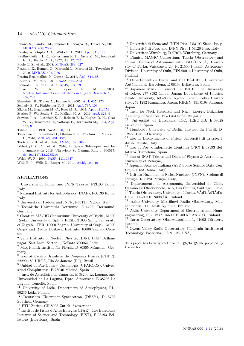# 14 MAGIC Collaboration

- <span id="page-13-4"></span>Paiano S., Landoni M., Falomo R., Scarpa R., Treves A., 2016, [MNRAS,](http://dx.doi.org/10.1093/mnras/stw472) [458, 2836](http://adsabs.harvard.edu/abs/2016MNRAS.458.2836P)
- <span id="page-13-18"></span>Pandey A., Gupta A. C., Wiita P. J., 2017, [ApJ,](http://dx.doi.org/10.3847/1538-4357/aa705e) [841, 123](http://adsabs.harvard.edu/abs/2017ApJ...841..123P)
- <span id="page-13-1"></span>Pauliny-Toth I. I. K., Kellermann K. I., Davis M. M., Fomalont E. B., Shaffer D. B., 1972, [AJ,](http://dx.doi.org/10.1086/111278) [77, 265](http://adsabs.harvard.edu/abs/1972AJ.....77..265P)
- <span id="page-13-5"></span>Poole T. S., et al., 2008, [MNRAS,](http://dx.doi.org/10.1111/j.1365-2966.2007.12563.x) [383, 627](http://adsabs.harvard.edu/abs/2008MNRAS.383..627P)
- <span id="page-13-13"></span>Prandini E., Bonnoli G., Maraschi L., Mariotti M., Tavecchio F., 2010, [MNRAS,](http://dx.doi.org/10.1111/j.1745-3933.2010.00862.x) [405, L76](http://adsabs.harvard.edu/abs/2010MNRAS.405L..76P)
- <span id="page-13-17"></span>Pratim Basumallick P., Gupta N., 2017, [ApJ,](http://dx.doi.org/10.3847/1538-4357/aa7a12) [844, 58](http://adsabs.harvard.edu/abs/2017ApJ...844...58P)
- <span id="page-13-6"></span>Raiteri C. M., et al., 2010, [A&A,](http://dx.doi.org/10.1051/0004-6361/201015191) [524, A43](http://adsabs.harvard.edu/abs/2010A%26A...524A..43R)
- <span id="page-13-8"></span>Richards J. L., et al., 2011, [ApJS,](http://dx.doi.org/10.1088/0067-0049/194/2/29) [194, 29](http://adsabs.harvard.edu/abs/2011ApJS..194...29R)<br>Rolke W. A., López
- <span id="page-13-14"></span>Rolke W. A., López A. M., 2001, [Nuclear Instruments and Methods in Physics Research A,](http://dx.doi.org/10.1016/S0168-9002(00)00935-9) [458, 745](http://adsabs.harvard.edu/abs/2001NIMPA.458..745R)
- <span id="page-13-12"></span>Sbarufatti B., Treves A., Falomo R., 2005, [ApJ,](http://dx.doi.org/10.1086/497022) [635, 173](http://adsabs.harvard.edu/abs/2005ApJ...635..173S)
- <span id="page-13-7"></span>Schlafly E. F., Finkbeiner D. P., 2011, [ApJ,](http://dx.doi.org/10.1088/0004-637X/737/2/103) [737, 103](http://adsabs.harvard.edu/abs/2011ApJ...737..103S)
- <span id="page-13-0"></span>Sikora M., Begelman M. C., Rees M. J., 1994, [ApJ,](http://dx.doi.org/10.1086/173633) [421, 153](http://adsabs.harvard.edu/abs/1994ApJ...421..153S)
- <span id="page-13-15"></span>Stecker F. W., Scully S. T., Malkan M. A., 2016, [ApJ,](http://dx.doi.org/10.3847/0004-637X/827/1/6) [827, 6](http://adsabs.harvard.edu/abs/2016ApJ...827....6S)
- <span id="page-13-11"></span>Stevens J. A., Litchfield S. J., Robson E. I., Hughes D. H., Gear W. K., Terasranta H., Valtaoja E., Tornikoski M., 1994, [ApJ,](http://dx.doi.org/10.1086/174978) [437, 91](http://adsabs.harvard.edu/abs/1994ApJ...437...91S)
- <span id="page-13-2"></span>Takalo L. O., 1991, A&AS, [90, 161](http://adsabs.harvard.edu/abs/1991A%26AS...90..161T)
- <span id="page-13-16"></span>Tavecchio F., Ghisellini G., Ghirlanda G., Foschini L., Maraschi L., 2010, [MNRAS,](http://dx.doi.org/10.1111/j.1365-2966.2009.15784.x) [401, 1570](http://adsabs.harvard.edu/abs/2010MNRAS.401.1570T)
- <span id="page-13-9"></span>Teräsranta H., et al., 1998,  $A&AS$ , [132, 305](http://adsabs.harvard.edu/abs/1998A%26AS..132..305T)
- <span id="page-13-19"></span>Weisskopf M. C., et al., 2016, in Space Telescopes and Instrumentation 2016: Ultraviolet to Gamma Ray. p. 990517, [doi:10.1117/12.2235240](http://dx.doi.org/10.1117/12.2235240)

<span id="page-13-10"></span>Welsh W. F., 1999, [PASP,](http://dx.doi.org/10.1086/316457) [111, 1347](http://adsabs.harvard.edu/abs/1999PASP..111.1347W)

<span id="page-13-3"></span>Wills B. J., Wills D., Breger M., 2011, [ApJS,](http://dx.doi.org/10.1088/0067-0049/194/2/19) [194, 19](http://adsabs.harvard.edu/abs/2011ApJS..194...19W)

## AFFILIATIONS

<sup>1</sup> Università di Udine, and INFN Trieste, I-33100 Udine, Italy

<sup>2</sup> National Institute for Astrophysics (INAF), I-00136 Rome, Italy

 $3$  Università di Padova and INFN, I-35131 Padova, Italy

<sup>4</sup> Technische Universität Dortmund, D-44221 Dortmund, Germany

<sup>5</sup> Croatian MAGIC Consortium: University of Rijeka, 51000 Rijeka, University of Split - FESB, 21000 Split, University of Zagreb - FER, 10000 Zagreb, University of Osijek, 31000 Osijek and Rudjer Boskovic Institute, 10000 Zagreb, Croatia.

<sup>6</sup> Saha Institute of Nuclear Physics, HBNI, 1/AF Bidhannagar, Salt Lake, Sector-1, Kolkata 700064, India

 $7$  Max-Planck-Institut für Physik, D-80805 München, Ger- $\frac{\text{many}}{\text{Now}}$ 

now at Centro Brasileiro de Pesquisas Físicas (CBPF), 22290-180 URCA, Rio de Janeiro (RJ), Brasil

9 Unidad de Partículas y Cosmología (UPARCOS), Universidad Complutense, E-28040 Madrid, Spain

 $^{10}$ Inst. de Astrofísica de Canarias, E-38200 La Laguna, and Universidad de La Laguna, Dpto. Astrofísica, E-38206 La Laguna, Tenerife, Spain

<sup>11</sup> University of Lódź, Department of Astrophysics, PL-90236 Lódź, Poland

<sup>12</sup> Deutsches Elektronen-Synchrotron (DESY), D-15738 Zeuthen, Germany

<sup>13</sup> ETH Zurich, CH-8093 Zurich, Switzerland

<sup>14</sup> Institut de Física d'Altes Energies (IFAE), The Barcelona Institute of Science and Technology (BIST), E-08193 Bellaterra (Barcelona), Spain

<sup>15</sup> Università di Siena and INFN Pisa, I-53100 Siena, Italy

- <sup>16</sup> Università di Pisa, and INFN Pisa, I-56126 Pisa, Italy
- $17$  Universität Würzburg, D-97074 Würzburg, Germany

<sup>18</sup> Finnish MAGIC Consortium: Tuorla Observatory and Finnish Centre of Astronomy with ESO (FINCA), University of Turku, Vaisalantie 20, FI-21500 Piikkiö, Astronomy Division, University of Oulu, FIN-90014 University of Oulu, Finland

<sup>19</sup> Departament de Física, and CERES-IEEC, Universitat Autónoma de Barcelona, E-08193 Bellaterra, Spain

<sup>20</sup> Japanese MAGIC Consortium: ICRR, The University of Tokyo, 277-8582 Chiba, Japan; Department of Physics, Kyoto University, 606-8502 Kyoto, Japan; Tokai University, 259-1292 Kanagawa, Japan; RIKEN, 351-0198 Saitama, Japan

<sup>21</sup> Inst. for Nucl. Research and Nucl. Energy, Bulgarian Academy of Sciences, BG-1784 Sofia, Bulgaria

<sup>22</sup> Universitat de Barcelona, ICC, IEEC-UB, E-08028 Barcelona, Spain

 $23$  Humboldt University of Berlin, Institut für Physik D-12489 Berlin Germany

 $^{24}$ also at Dipartimento di Fisica, Università di Trieste, I-34127 Trieste, Italy

 $^{25}$ also at Port d'Informació Científica (PIC) E-08193 Bellaterra (Barcelona) Spain

<sup>26</sup> also at INAF-Trieste and Dept. of Physics & Astronomy, University of Bologna,

<sup>27</sup> Agenzia Spaziale Italiana (ASI) Space Science Data Center, I-00133 Roma, Italy),

<sup>28</sup> Istituto Nazionale di Fisica Nucleare (INFN), Sezione di Perugia, I-06123 Perugia, Italy,

<sup>29</sup> Departamento de Astronomía, Universidad de Chile, Camino El Observatorio 1515, Las Condes, Santiago, Chile,  $^{30}$  Tuorla Observatory, University of Turku, V $\tilde{\text{A}}$ d'is $\tilde{\text{A}}$ d' $\tilde{\text{A}}$ d'n-

tie 20, FI-21500 Piikki $\tilde{A}$ ű, Finland,

<sup>31</sup> Aalto University Metsähovi Radio Observatory, Metsähovintie 114, 02540 Kylmälä, Finland,

<sup>32</sup> Aalto University Department of Electronics and Nanoengineering, P.O. BOX 15500, FI-00076 AALTO, Finland,

33 Tartu Observatory, Observatooriumi 1, 61602 Tõravere, Estonia,

<sup>34</sup> Owens Valley Radio Observatory, California Institute of Technology, Pasadena, CA 91125, USA,

This paper has been typeset from a T<sub>E</sub>X/LAT<sub>E</sub>X file prepared by the author.